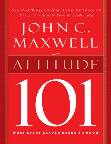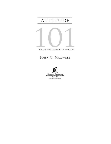



WHAT EVERY LEADER NEEDS TO KNOW

# JOHN C. MAXWELL

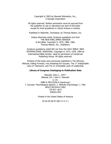Copyright © 2003 by Maxwell Motivation, Inc., a Georgia Corporation

All rights reserved. Written permission must be secured from the publisher to use or reproduce any part of this book, except for brief quotations in critical reviews or articles.

Published in Nashville, Tennessee, by Thomas Nelson, Inc.

Unless otherwise noted, Scripture quotations are from THE NEW KING JAMES VERSION of the Bible. Copyright © 1979, 1980, 1982, Thomas Nelson, Inc., Publishers.

Scripture quotations noted NIV are from the HOLY BIBLE: NEW INTERNATIONAL VERSION®. Copyright © 1973, 1978, 1984 by International Bible Society. Used by permission of Zondervan Publishing House. All rights reserved.

Portions of this book were previously published in The Winning Attitude, Failing Forward, Your Roadmap for Success, The 17 Indisputable Laws of Teamwork, and The 21 Irrefutable Laws of Leadership.

#### **Library of Congress Cataloging-in-Publication Data**

Maxwell, John C., 1947– Attitude 101 / John C. Maxwell. p. cm. ISBN 0-7852-6350-0 (hardcover) 1. Success—Psychological aspects. 2. Attitude (Psychology). I. Title. BF637.S8 M3415 2002 153.8'5—dc21 2002011491

Printed in the United States of America

03 04 05 06 07 QW 5 4 3 2 1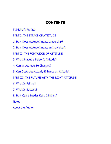# **CONTENTS**

<span id="page-3-0"></span>[Publisher's](#page-4-0) Preface

<span id="page-3-1"></span>PART I: THE IMPACT OF [ATTITUDE](#page-6-0)

<span id="page-3-2"></span>1. How Does Attitude Impact [Leadership?](#page-7-0)

<span id="page-3-3"></span>2. How Does Attitude Impact an [Individual?](#page-16-0)

<span id="page-3-4"></span>PART II: THE [FORMATION](#page-26-0) OF ATTITUDE

<span id="page-3-5"></span>3. What Shapes a Person's [Attitude?](#page-27-0)

4. Can an Attitude Be [Changed?](#page-37-0)

5. Can [Obstacles](#page-47-0) Actually Enhance an Attitude?

PART III: THE FUTURE WITH THE RIGHT [ATTITUDE](#page-57-0)

6. What Is [Failure?](#page-58-0)

7. What Is [Success?](#page-67-0)

8. How Can a Leader Keep [Climbing?](#page-76-0)

**[Notes](#page-79-0)** 

About the [Author](#page-88-0)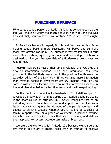# **[PUBLISHER'S](#page-3-0) PREFACE**

<span id="page-4-0"></span>**W**ho cares about a person's attitude? As long as someone can do the job, you shouldn't worry too much about it, right? If John Maxwell believed that, you wouldn't have Attitude 101 in your hands right now.

As America's leadership expert, Dr. Maxwell has devoted his life to helping people become more successful. His books and seminars teach that anyone can be a REAL success if they master skills in four areas: Relationships, Equipping, Attitude, and Leadership. This book is designed to give you the essentials of attitude—in a quick, easy-toread format.

People's lives are so hectic. Their time is valuable, and yet, they are also on information overload. More new information has been produced in the last thirty years than in the previous five thousand. A weekday edition of the New York Times contains more information than average people in seventeenth-century England were likely to come across in their lifetime. The amount of information available in the world has doubled in the last five years, and it will keep doubling.

So this book, a companion to Leadership 101, Relationships 101 (available January 2004), and Equipping 101 (available January 2004), is the short course on attitude. Dr. Maxwell recognizes that as an individual, your attitude has a profound impact on your life. As a leader, you cannot ignore the attitudes of the people you lead and expect to achieve success—whether you're leading a business, a family, a sports team, or a group of volunteers. A person's attitude impacts their relationships, colors their view of failure, and defines their approach to success. Attitude can make or break you.

We are delighted to publish Attitude 101 because we realize that few things in life are a greater asset than an attitude of positive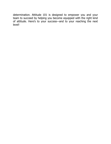determination. Attitude 101 is designed to empower you and your team to succeed by helping you become equipped with the right kind of attitude. Here's to your success—and to your reaching the next level!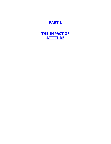# **[PART](#page-3-1) 1**

<span id="page-6-0"></span>**THE IMPACT OF [ATTITUDE](#page-3-1)**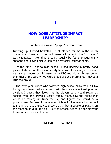### <span id="page-7-0"></span>**HOW DOES ATTITUDE IMPACT [LEADERSHIP?](#page-3-2)**

Attitude is always a "player" on your team.

**G**rowing up, I loved basketball. It all started for me in the fourth grade when I saw a high school basketball game for the first time. I was captivated. After that, I could usually be found practicing my shooting and playing pickup games on my small court at home.

By the time I got to high school, I had become a pretty good player. I started on the junior varsity team as a freshman, and when I was a sophomore, our JV team had a 15-3 record, which was better than that of the varsity. We were proud of our performance—maybe a little too proud.

The next year, critics who followed high school basketball in Ohio thought our team had a chance to win the state championship in our division. I guess they looked at the players who would return as seniors from the previous year's varsity team, saw the talent that would be moving up from the JV, and figured we would be a powerhouse. And we did have a lot of talent. How many high school teams in the late 1960s could say that all but a couple of players on the team could dunk the ball? But the season turned out far different from everyone's expectations.

## FROM BAD TO WORSE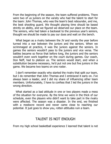From the beginning of the season, the team suffered problems. There were two of us juniors on the varsity who had the talent to start for the team: John Thomas, who was the team's best rebounder, and me, the best shooting guard. We thought playing time should be based strictly on ability, and we figured we deserved our place on the team. The seniors, who had taken a backseat to the previous year's seniors, thought we should be made to pay our dues and wait on the bench.

What began as a rivalry between the JV and varsity the year before turned into a war between the juniors and the seniors. When we scrimmaged at practice, it was the juniors against the seniors. In games the seniors wouldn't pass to the juniors and vice versa. The battles became so fierce that before long, the juniors and the seniors wouldn't even work together on the court during games. Our coach, Don Neff, had to platoon us. The seniors would start, and when a substitution became necessary, he'd put not one but five juniors in the game. We became two teams on one roster.

I don't remember exactly who started the rivalry that split our team, but I do remember that John Thomas and I embraced it early on. I've always been a leader, and I did my share of influencing other team members. Unfortunately, I have to confess that I led the juniors in the wrong direction.

What started as a bad attitude in one or two players made a mess of the situation for everyone. By the time we were in the thick of our schedule, even the players who didn't want to take part in the rivalry were affected. The season was a disaster. In the end, we finished with a mediocre record and never came close to reaching our potential. It just goes to show you, rotten attitudes ruin a team.

## TALENT IS NOT ENOUGH

From my high school basketball experience I learned that talent is not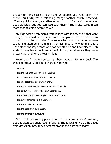enough to bring success to a team. Of course, you need talent. My friend Lou Holtz, the outstanding college football coach, observed, "You've got to have great athletes to win . . . You can't win without good athletes, but you can lose with them." But it also takes much more than talented people to win.

My high school teammates were loaded with talent, and if that were enough, we could have been state champions. But we were also loaded with rotten attitudes. You know which won the battle between talent and attitude in the end. Perhaps that is why to this day I understand the importance of a positive attitude and have placed such a strong emphasis on it for myself, for my children as they were growing up, and for the teams I lead.

Years ago I wrote something about attitude for my book The Winning Attitude. I'd like to share it with you:

Attitude . . .

It is the "advance man" of our true selves.

Its roots are inward but its fruit is outward.

It is our best friend or our worst enemy.

It is more honest and more consistent than our words.

It is an outward look based on past experiences.

It is a thing which draws people to us or repels them.

It is never content until it is expressed.

It is the librarian of our past.

It is the speaker of our present.

It is the prophet of our future. $^{\underline{1}}$  $^{\underline{1}}$  $^{\underline{1}}$ 

Good attitudes among players do not guarantee a team's success, but bad attitudes guarantee its failure. The following five truths about attitudes clarify how they affect teamwork and a leader's team: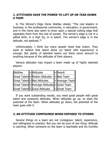### **1. ATTITUDES HAVE THE POWER TO LIFT UP OR TEAR DOWN A TEAM**

In The Winner's Edge Denis Waitley stated, "The real leaders in business, in the professional community, in education, in government, and in the home also seem to draw upon a special cutting edge that separates them from the rest of society. The winner's edge is not in a gifted birth, in a high IQ, or in talent. The winner's edge is in the attitude, not aptitude."<sup>[2](#page-79-2)</sup>

Unfortunately, I think too many people resist that notion. They want to believe that talent alone (or talent with experience) is enough. But plenty of talented teams out there never amount to anything because of the attitudes of their players.

Various attitudes may impact a team made up of highly talented players:

| Abilities | ll+lattitudes                                    | $\mathbf{R}$ Result    |
|-----------|--------------------------------------------------|------------------------|
|           | Great Talent   + Rotten Attitudes                | $\ $ = $\ $ Bad Team   |
|           | Great Talent   + Bad Attitudes                   | ∥=∥Average Team∥       |
|           | Great Talent  +  Average Attitudes  =  Good Team |                        |
|           | Great Talent + Good Attitudes                    | $\ $ = $\ $ Great Team |

If you want outstanding results, you need good people with great talent and awesome attitudes. When attitudes go up, so does the potential of the team. When attitudes go down, the potential of the team goes with it.

#### **2. AN ATTITUDE COMPOUNDS WHEN EXPOSED TO OTHERS**

Several things on a team are not contagious: talent, experience, and willingness to practice. But you can be sure of one thing: Attitude is catching. When someone on the team is teachable and his humility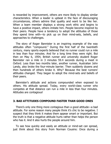is rewarded by improvement, others are more likely to display similar characteristics. When a leader is upbeat in the face of discouraging circumstances, others admire that quality and want to be like her. When a team member displays a strong work ethic and begins to have a positive impact, others imitate him. People become inspired by their peers. People have a tendency to adopt the attitudes of those they spend time with—to pick up on their mind-sets, beliefs, and approaches to challenges.

The story of Roger Bannister is an inspiring example of the way attitudes often "compound." During the first half of the twentieth century, many sports experts believed that no runner could run a mile in less than four minutes. And for a long time they were right. But then on May 6, 1954, British runner and university student Roger Bannister ran a mile in 3 minutes 59.4 seconds during a meet in Oxford. Less than two months later, another runner, Australian John Landy, also broke the four-minute barrier. Then suddenly dozens and then hundreds of others broke it. Why? Because the best runners' attitudes changed. They began to adopt the mind-sets and beliefs of their peers.

Bannister's attitude and actions compounded when exposed to others. His attitude spread. Today, every world-class runner who competes at that distance can run a mile in less than four minutes. Attitudes are contagious!

#### **3. BAD ATTITUDES COMPOUND FASTER THAN GOOD ONES**

There's only one thing more contagious than a good attitude—a bad attitude. For some reason many people think it's chic to be negative. I suspect that they think it makes them appear smart or important. But the truth is that a negative attitude hurts rather than helps the person who has it. And it also hurts the people around him.

To see how quickly and easily an attitude or mind-set can spread, just think about this story from Norman Cousins: Once during a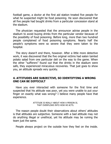football game, a doctor at the first aid station treated five people for what he suspected might be food poisoning. He soon discovered that all five people had bought drinks from a particular concession stand at the stadium.

The physician requested that the announcer advise people in the stadium to avoid buying drinks from the particular vendor because of the possibility of food poisoning. Before long, more than two hundred people complained of food poisoning symptoms. Nearly half the people's symptoms were so severe that they were taken to the hospital.

The story doesn't end there, however. After a little more detective work, it was discovered that the five original victims had eaten tainted potato salad from one particular deli on the way to the game. When the other "sufferers" found out that the drinks in the stadium were safe, they experienced miraculous recoveries. That just goes to show you, an attitude spreads very quickly.

### **4. ATTITUDES ARE SUBJECTIVE, SO IDENTIFYING A WRONG ONE CAN BE DIFFICULT**

Have you ever interacted with someone for the first time and suspected that his attitude was poor, yet you were unable to put your finger on exactly what was wrong? I believe many people have that experience.

> ATTITUDE IS REALLY ABOUT HOW A PERSON IS. THAT OVERFLOWS INTO HOW HE ACTS.

The reason people doubt their observations about others' attitudes is that attitudes are subjective. Someone with a bad attitude may not do anything illegal or unethical, yet his attitude may be ruining the team just the same.

People always project on the outside how they feel on the inside.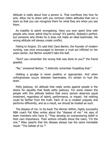Attitude is really about how a person is. That overflows into how he acts. Allow me to share with you common rotten attitudes that ruin a team so that you can recognize them for what they are when you see them.

An inability to admit wrongdoing. Have you ever spent time with people who never admit they're wrong? It's painful. Nobody's perfect, but someone who thinks he is does not make an ideal teammate. His wrong attitude will always create conflict.

Failing to forgive. It's said that Clara Barton, the founder of modern nursing, was once encouraged to bemoan a cruel act inflicted on her years earlier, but Barton wouldn't take the bait.

"Don't you remember the wrong that was done to you?" the friend goaded.

"No," answered Barton, "I distinctly remember forgetting that."

Holding a grudge is never positive or appropriate. And when unforgiveness occurs between teammates, it's certain to hurt the team.

Petty jealousy. An attitude that really works against people is the desire for equality that feeds petty jealousy. For some reason the people with this attitude believe that every person deserves equal treatment, regardless of talent, performance, or impact. Yet nothing could be farther from the truth. Each of us is created uniquely and performs differently, and as a result, we should be treated as such.

The disease of me. In his book The Winner Within, highly successful NBA coach Pat Riley writes about the "disease of me." He says of team members who have it, "They develop an overpowering belief in their own importance. Their actions virtually shout the claim, 'I'm the one.'" Riley asserts that the disease always has the same inevitable result: "The Defeat of Us."<sup>[3](#page-79-3)</sup>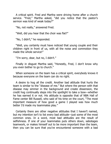A critical spirit. Fred and Martha were driving home after a church service. "Fred," Martha asked, "did you notice that the pastor's sermon was kind of weak today?"

"No, not really," answered Fred.

"Well, did you hear that the choir was flat?"

"No, I didn't," he responded.

"Well, you certainly must have noticed that young couple and their children right in front of us, with all the noise and commotion they made the whole service!"

"I'm sorry, dear, but no, I didn't."

Finally in disgust Martha said, "Honestly, Fred, I don't know why you even bother to go to church."

When someone on the team has a critical spirit, everybody knows it because everyone on the team can do no right.

A desire to hog all the credit. Another bad attitude that hurts the team is similar to the "disease of me." But where the person with that disease may simmer in the background and create dissension, the credit hog continually steps into the spotlight to take a bow—whether he has earned it or not. His attitude is opposite that of NBA Hall of Fame center Bill Russell, who said of his time on the court, "The most important measure of how good a game I played was how much better I'd made my teammates play."

Certainly there are other negative attitudes that I haven't named, but my intention isn't to list every bad attitude—just some of the most common ones. In a word, most bad attitudes are the result of selfishness. If one of your teammates puts others down, sabotages teamwork, or makes himself out to be more important than the team, then you can be sure that you've encountered someone with a bad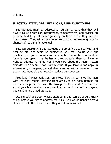attitude.

#### **5. ROTTEN ATTITUDES, LEFT ALONE, RUIN EVERYTHING**

Bad attitudes must be addressed. You can be sure that they will always cause dissension, resentment, combativeness, and division on a team. And they will never go away on their own if they are left unaddressed. They will simply fester and ruin a team—along with its chances of reaching its potential.

Because people with bad attitudes are so difficult to deal with and because attitudes seem so subjective, you may doubt your gut reaction when you encounter someone with a bad attitude. After all, if it's only your opinion that he has a rotten attitude, then you have no right to address it, right? Not if you care about the team. Rotten attitudes ruin a team. That is always true. If you leave a bad apple in a barrel of good apples, you will always end up with a barrel of rotten apples. Attitudes always impact a leader's effectiveness.

President Thomas Jefferson remarked, "Nothing can stop the man with the right mental attitude from achieving his goal; nothing on earth can help the man with the wrong mental attitude." If you care about your team and you are committed to helping all of the players, you can't ignore a bad attitude.

Dealing with a person whose attitude is bad can be a very tricky thing. Before you try to address the issue, you would benefit from a closer look at attitudes and how they affect an individual.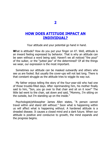### <span id="page-16-0"></span>**HOW DOES ATTITUDE IMPACT AN [INDIVIDUAL?](#page-3-3)**

Your attitude and your potential go hand in hand.

**What is attitude?** How do you put your finger on it?. Well, attitude is an inward feeling expressed by behavior. That is why an attitude can be seen without a word being said. Haven't we all noticed "the pout" of the sulker, or the "jutted jaw" of the determined? Of all the things we wear, our expression is the most important.

Sometimes our attitude can be masked outwardly and others who see us are fooled. But usually the cover-ups will not last long. There is that constant struggle as the attitude tries to wiggle its way out.

My father enjoys telling the story of the four-year-old who had one of those trouble-filled days. After reprimanding him, his mother finally said to him, "Son, you go over to that chair and sit on it now!" The little lad went to the chair, sat down and said, "Mommy, I'm sitting on the outside, but I'm standing up on the inside."

Psychologist/philosopher James Allen states, "A person cannot travel within and stand still without." Soon what is happening within us will affect what is happening without. A hardened attitude is a dreaded disease. It causes a closed mind and a dark future. When our attitude is positive and conducive to growth, the mind expands and the progress begins.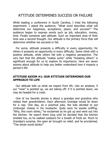# ATTITUDE DETERMINES SUCCESS OR FAILURE

While leading a conference in South Carolina, I tried the following experiment. I asked the audience, "What word describes what will determine our happiness, acceptance, peace, and success?" The audience began to express words such as job, education, money, time. Finally someone said attitude. Such an important area of their lives was a second thought. Our attitude is the primary force that will determine whether we succeed or fail.

For some, attitude presents a difficulty in every opportunity; for others it presents an opportunity in every difficulty. Some climb with a positive attitude, while others fall with a negative perspective. The very fact that the attitude "makes some" while "breaking others" is significant enough for us to explore its importance. Here are seven axioms about attitude to help you better understand how it impacts a person's life:

#### **ATTITUDE AXIOM #1: OUR ATTITUDE DETERMINES OUR APPROACH TO LIFE**

Our attitude tells us what we expect from life. Like an airplane, if our "nose" is pointed up, we are taking off; if it is pointed down, we may be headed for a crash.

One of my favorite stories is about a grandpa and grandma who visited their grandchildren. Each afternoon Grandpa would lie down for a nap. One day, as a practical joke, the kids decided to put Limburger cheese in his mustache. Quite soon he awoke sniffing. "Why, this room stinks," he exclaimed as he got up and went out into the kitchen. He wasn't there long until he decided that the kitchen smelled too, so he walked outdoors for a breath of fresh air. Much to Grandpa's surprise, the open air brought no relief, and he proclaimed, "The whole world stinks!"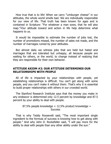How true that is to life! When we carry "Limburger cheese" in our attitudes, the whole world smells bad. We are individually responsible for our view of life. That truth has been known for ages and is contained in Scripture: "For whatever a man sows, that he will also reap."<sup>[1](#page-79-4)</sup>Our attitude toward and action in life help determine what happens to us.

It would be impossible to estimate the number of jobs lost, the number of promotions missed, the number of sales not made, and the number of marriages ruined by poor attitudes.

But almost daily we witness jobs that are held but hated and marriages that are tolerated but unhappy, all because people are waiting for others, or the world, to change instead of realizing that they are responsible for their own behavior.

#### **ATTITUDE AXIOM #2: OUR ATTITUDE DETERMINES OUR RELATIONSHIPS WITH PEOPLE**

All of life is impacted by your relationships with people, yet establishing relationships is difficult. You can't get along with some people, and you can't make it without them. That's why it is essential to build proper relationships with others in our crowded world.

The Stanford Research Institute says that the money you make in any endeavor is determined only 12.5 percent by knowledge and 87.5 percent by your ability to deal with people.

#### 87.5% people knowledge + 12.5% product knowledge = **Success**

That is why Teddy Roosevelt said, "The most important single ingredient to the formula of success is knowing how to get along with people." And why John D. Rockefeller said, "I will pay more for the ability to deal with people than any other ability under the sun."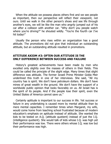When the attitude we possess places others first and we see people as important, then our perspective will reflect their viewpoint, not ours. Until we walk in the other person's shoes and see life through another's eyes, we will be like the man who angrily jumped out of his car after a collision with another car. "Why don't you people watch where you're driving?" he shouted wildly. "You're the fourth car I've hit today!"

Usually the person who rises within an organization has a good attitude. The promotions did not give that individual an outstanding attitude, but an outstanding attitude resulted in promotions.

#### **ATTITUDE AXIOM #3: OFTEN OUR ATTITUDE IS THE ONLY DIFFERENCE BETWEEN SUCCESS AND FAILURE**

History's greatest achievements have been made by men who excelled only slightly over the masses of others in their fields. This could be called the principle of the slight edge. Many times that slight difference was attitude. The former Israeli Prime Minister Golda Meir underlined this truth in one of her interviews. She said, "All my country has is spirit. We don't have petroleum dollars. We don't have mines of great wealth in the ground. We don't have the support of a worldwide public opinion that looks favorably on us. All Israel has is the spirit of its people. And if the people lose their spirit, even the United States of America cannot save us."

Certainly aptitude is important to our success in life. Yet success or failure in any undertaking is caused more by mental attitude than by mere mental capacities. I remember times when Margaret, my wife, would come home from teaching school frustrated because of modern education's emphasis on aptitude instead of attitude. She wanted the kids to be tested on A.Q. (attitude quotient) instead of just the I.Q. (intelligence quotient). She would talk of kids whose I.Q. was high yet their performance was low. There were others whose I.Q. was low but their performance was high.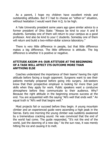As a parent, I hope my children have excellent minds and outstanding attitudes. But if I had to choose an "either-or" situation, without hesitation I would want their A.Q. to be high.

A Yale University president some years ago gave similar advice to a former president of Ohio State: "Always be kind to your A and B students. Someday one of them will return to your campus as a good professor. And also be kind to your C students. Someday one of them will return and build a two-million-dollar science laboratory."

There is very little difference in people, but that little difference makes a big difference. The little difference is attitude. The big difference is whether it is positive or negative.

#### **ATTITUDE AXIOM #4: OUR ATTITUDE AT THE BEGINNING OF A TASK WILL AFFECT ITS OUTCOME MORE THAN ANYTHING ELSE**

Coaches understand the importance of their teams' having the right attitude before facing a tough opponent. Surgeons want to see their patients mentally prepared before going into surgery. Job-seekers know that their prospective employer is looking for more than just skills when they apply for work. Public speakers want a conducive atmosphere before they communicate to their audience. Why? Because the right attitude in the beginning ensures success at the end. You are acquainted with the saying "All's well that ends well." An equal truth is "All's well that begins well."

Most projects fail or succeed before they begin. A young mountain climber and an experienced guide were ascending a high peak in the Sierras. Early one morning the young climber was suddenly awakened by a tremendous cracking sound. He was convinced that the end of the world had come. The guide responded, "It's not the end of the world, just the dawning of a new day." As the sun rose, it was merely hitting the ice and causing it to melt.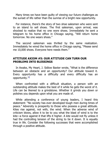Many times we have been guilty of viewing our future challenges as the sunset of life rather than the sunrise of a bright new opportunity.

For instance, there's the story of two shoe salesmen who were sent to an island to sell shoes. The first salesman, upon arrival, was shocked to realize that no one wore shoes. Immediately he sent a telegram to his home office in Chicago saying, "Will return home tomorrow. No one wears shoes."

The second salesman was thrilled by the same realization. Immediately he wired the home office in Chicago saying, "Please send me 10,000 shoes. Everyone here needs them."

#### **ATTITUDE AXIOM #5: OUR ATTITUDE CAN TURN OUR PROBLEMS INTO BLESSINGS**

In Awake, My Heart, J. Sidlow Baxter wrote, "What is the difference between an obstacle and an opportunity? Our attitude toward it. Every opportunity has a difficulty and every difficulty has an opportunity."<sup>[2](#page-79-5)</sup>

When confronted with a difficult situation, a person with an outstanding attitude makes the best of it while he gets the worst of it. Life can be likened to a grindstone. Whether it grinds you down or polishes you depends upon what you are made of.

While attending a conference of young leaders, I heard this statement: "No society has ever developed tough men during times of peace." Adversity is prosperity to those who possess a great attitude. Kites rise against, not with, the wind. When the adverse wind of criticism blows, allow it to be to you what the blast of wind is to the kite—a force against it that lifts it higher. A kite would not fly unless it had the controlling tension of the string to tie it down. It is equally true in life. Consider the following successes that were accomplished through a positive attitude.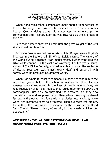#### WHEN CONFRONTED WITH A DIFFICULT SITUATION, A PERSON WITH AN OUTSTANDING ATTITUDE MAKES THE BEST OF IT WHILE HE GETS THE WORST OF IT.

When Napoleon's school companions made sport of him because of his humble origin and poverty, he devoted himself entirely to his books. Quickly rising above his classmates in scholarship, he commanded their respect. Soon he was regarded as the brightest in the class.

Few people knew Abraham Lincoln until the great weight of the Civil War showed his character.

Robinson Crusoe was written in prison. John Bunyan wrote Pilgrim's Progress in the Bedford jail. Sir Walter Raleigh wrote The History of the World during a thirteen-year imprisonment. Luther translated the Bible while confined in the castle of Wartburg. For ten years Dante, author of The Divine Comedy, worked in exile and under the sentence of death. Beethoven was almost totally deaf and burdened with sorrow when he produced his greatest works.

When God wants to educate someone, He does not send him to the school of graces but to the school of necessities. Great leaders emerge when crises occur. In the lives of people who achieve, we read repeatedly of terrible troubles that forced them to rise above the commonplace. Not only do they find the answers, but they also discover a tremendous power within themselves. Like a groundswell far out in the ocean, this force within explodes into a mighty wave when circumstances seem to overcome. Then out steps the athlete, the author, the statesman, the scientist, or the businessman. David Sarnoff said, "There is plenty of security in the cemetery; I long for opportunity."

#### **ATTITUDE AXIOM #6: OUR ATTITUDE CAN GIVE US AN UNCOMMONLY POSITIVE PERSPECTIVE**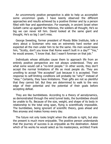An uncommonly positive perspective is able to help us accomplish some uncommon goals. I have keenly observed the different approaches and results achieved by a positive thinker and by a person filled with fear and apprehension. For example, in ancient Israel when Goliath came up against the Hebrews, the soldiers all thought, He's so big we can never kill him. David looked at the same giant and thought, He's so big I can't miss.

George Sweeting, former president of Moody Bible Institute, tells a story about a Scotsman who was an extremely hard worker and expected all the men under him to be the same. His men would tease him, "Scotty, don't you know that Rome wasn't built in a day?" "Yes," he would answer, "I know that. But I wasn't foreman on that job."

Individuals whose attitudes cause them to approach life from an entirely positive perspective are not always understood. They are what some would call a "no-limit people." In other words, they don't accept the normal limitations of life as most people do. They are unwilling to accept "the accepted" just because it is accepted. Their response to self-limiting conditions will probably be "why?" instead of "okay." Certainly, they have limitations. Their gifts are not so plentiful that they cannot fail. But they are determined to walk to the very edge of their potential and the potential of their goals before accepting defeat.

They are like bumblebees. According to a theory of aerodynamics, as demonstrated through the wind tunnel tests, the bumblebee should be unable to fly. Because of the size, weight, and shape of its body in relationship to the total wing span, flying is scientifically impossible. The bumblebee, being ignorant of scientific theory, goes ahead and flies anyway and makes honey every day.

The future not only looks bright when the attitude is right, but also the present is much more enjoyable. The positive person understands that the journey of success is as enjoyable as the destination. Asked which of his works he would select as his masterpiece, architect Frank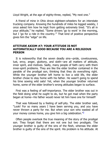Lloyd Wright, at the age of eighty-three, replied, "My next one."

A friend of mine in Ohio drove eighteen-wheelers for an interstate trucking company. Knowing the hundreds of miles he logged weekly, I once asked him how he kept from getting extremely tired. "It's all in your attitude," he replied. "Some drivers 'go to work' in the morning, but I 'go for a ride in the country.'" That kind of positive perspective gives him the "edge" on life.

#### **ATTITUDE AXIOM #7: YOUR ATTITUDE IS NOT AUTOMATICALLY GOOD BECAUSE YOU ARE A RELIGIOUS PERSON**

It is noteworthy that the seven deadly sins—pride, covetousness, lust, envy, anger, gluttony, and sloth—are all matters of attitude, inner spirit, and motives. Sadly, many people of faith carry with them inner-spirit problems. They are like the elder brother contained in the parable of the prodigal son, thinking that they do everything right. While the younger brother left home to live a wild life, the elder brother chose to stay home with his father. He wasn't going to spend his time sowing wild oats! Yet, when the younger brother returned home, some of the elder brother's wrong attitudes began to surface.

First was a feeling of self-importance. The elder brother was out in the field doing what he ought to do, but he got mad when the party began at home—his father would never let him have one for himself!

That was followed by a feeling of self-pity. The elder brother said, "Look! For so many years I have been serving you, and you have never thrown a party for me. But when your son who wasted all of your money comes home, you give him a big celebration."<sup>[3](#page-79-3)</sup>

Often people overlook the true meaning of the story of the prodigal son. They forget that there are not one but two prodigals. The younger brother is guilty of the sins of the flesh, whereas the elder brother is guilty of the sins of the spirit. His problem is his attitude. At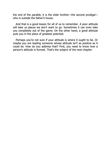the end of the parable, it is the elder brother—the second prodigal who is outside the father's house.

And that is a good lesson for all of us to remember. A poor attitude will take us places we don't want to go. Sometimes it can even take you completely out of the game. On the other hand, a good attitude puts you in the place of greatest potential.

Perhaps you're not sure if your attitude is where it ought to be. Or maybe you are leading someone whose attitude isn't as positive as it could be. How do you address that? First, you need to know how a person's attitude is formed. That's the subject of the next chapter.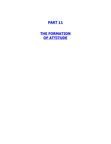# **[PART](#page-3-4) 11**

<span id="page-26-0"></span>**THE [FORMATION](#page-3-4) OF ATTITUDE**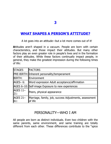**[3](#page-3-5)**

### <span id="page-27-0"></span>**WHAT SHAPES A PERSON'S [ATTITUDE?](#page-3-5)**

A lot goes into an attitude—but a lot more comes out of it!

Attitudes aren't shaped in a vacuum. People are born with certain characteristics, and those impact their attitudes. But many other factors play an even greater role in people's lives and in the formation of their attitudes. While these factors continually impact people, in general, they make the greatest impression during the following times of life:

| <b>FACTORS</b>                                                    |  |  |  |
|-------------------------------------------------------------------|--|--|--|
| PRE-BIRTH: Inherent personality/temperament                       |  |  |  |
| Environment                                                       |  |  |  |
| Word expression Adult acceptance/affirmation                      |  |  |  |
| AGES 6-10: Self-image Exposure to new experiences                 |  |  |  |
| Peers, physical appearance                                        |  |  |  |
| Marriage, family, job, success Adjustments, assessment<br>of life |  |  |  |
|                                                                   |  |  |  |

## PERSONALITY—WHO I AM

All people are born as distinct individuals. Even two children with the same parents, same environment, and same training are totally different from each other. These differences contribute to the "spice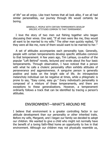of life" we all enjoy. Like tract homes that all look alike, if we all had similar personalities, our journey through life would certainly be boring.

> GENERALLY, PEOPLE WITH CERTAIN TEMPERAMENTS DEVELOP SPECIFIC ATTITUDES COMMON TO THAT TEMPERAMENT.

I love the story of two men out fishing together who began discussing their wives. One said, "If all men were like me, they would all want to be married to my wife." The other man quickly replied, "If they were all like me, none of them would want to be married to her."

A set of attitudes accompanies each personality type. Generally, people with certain temperaments develop specific attitudes common to that temperament. A few years ago, Tim LaHaye, co-author of the popular "Left Behind" novels, lectured and wrote about the four basic temperaments. Through observation, I have noticed that a person with what he calls a choleric personality often exhibits attitudes of perseverance and aggressiveness. A sanguine person is generally positive and looks on the bright side of life. An introspective melancholy individual can be negative at times, while a phlegmatic is prone to say, "Easy come, easy go." Every individual's personality is composed of a mixture of these temperaments, and there are exceptions to these generalizations. However, a temperament ordinarily follows a track that can be identified by tracing a person's attitudes.

## ENVIRONMENT—WHAT'S AROUND ME

I believe that environment is a greater controlling factor in our attitude development than our personality or other inherited traits. Before my wife, Margaret, and I began our family we decided to adopt our children. We wanted to give a child who might not normally have the benefit of a loving faith-filled home an opportunity to live in that environment. Although our children may not physically resemble us,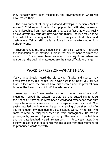they certainly have been molded by the environment in which we have reared them.

The environment of early childhood develops a person's "belief system." Children continually pick up priorities, attitudes, interests, and philosophies from their environment. It is a fact that what I really believe affects my attitude! However, the things I believe may not be true. What I believe may not be healthy. It may even hurt others and destroy me. Yet an attitude is reinforced by a belief—whether it is right or wrong.

Environment is the first influencer of our belief system. Therefore the foundation of an attitude is laid in the environment to which we were born. Environment becomes even more significant when we realize that the beginning attitudes are the most difficult to change.

### WORD EXPRESSION—WHAT I HEAR

You've undoubtedly heard the old saying: "Sticks and stones may break my bones, but names will never hurt me." Don't you believe that! In fact, after the bruises have disappeared and the physical pain is gone, the inward pain of hurtful words remains.

Years ago when I was leading a church, during one of our staff meetings I asked the pastors, secretaries, and custodians to raise their hands if they could remember a childhood experience that hurt deeply because of someone's words. Everyone raised his hand. One pastor recalled the time when he sat in a reading circle at school. (Do you remember how intimidating those sessions were?) When his time came to read, he mispronounced the word photography. He read it photo-graphy instead of pho-tog-ra-phy. The teacher corrected him and the class laughed. He still remembers . . . forty years later. One positive result of that experience was his desire from that moment on to pronounce words correctly.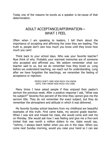Today one of the reasons he excels as a speaker is be-cause of that determination.

### ADULT ACCEPTANCE/AFFIRMATION— WHAT I FEEL

Often when I am speaking to leaders, I tell them about the importance of accepting and affirming the ones they are leading. The truth is, people don't care how much you know until they know how much you care!

Think back to your school days. Who was your favorite teacher? Now think of why. Probably your warmest memories are of someone who accepted and affirmed you. We seldom remember what our teacher said to us, but we do remember how they loved us. Long before we understand teaching, we reach out for understanding. Long after we have forgotten the teachings, we remember the feeling of acceptance or rejection.

> PEOPLE DON'T CARE HOW MUCH YOU KNOW UNTIL THEY KNOW HOW MUCH YOU CARE.

Many times I have asked people if they enjoyed their pastor's sermon the previous week. After a positive response I ask, "What was his subject?" Seventy-five percent of the time they cannot give me the sermon title. They do not remember the exact subject, but they do remember the atmosphere and attitude in which it was delivered.

My favorite Sunday school teachers from my childhood are beautiful examples of this truth. First came Katie, my second grade teacher. When I was sick and missed her class, she would come and visit me on Monday. She would ask how I was feeling and give me a five-cent trinket that was worth a million dollars to me. Katie would say, "Johnny, I always teach better when you are in the class. When you come next Sunday morning, would you raise your hand so I can see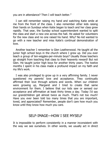you are in attendance? Then I will teach better."

I can still remember raising my hand and watching Katie smile at me from the front of the class. I also remember other kids raising their hands on Sundays when Katie began to teach and her class grew rapidly. That year, the Sunday school superintendent wanted to split the class and start a new one across the hall. He asked for volunteers for the new class and no one raised his hand. Why? No kid wanted to go with a new teacher and miss Katie's continual demonstration of love.

Another teacher I remember is Glen Leatherwood. He taught all the junior high school boys in the church where I grew up. Did you ever teach a group of ten-wiggles-per-minute boys? Usually those teachers go straight from teaching that class to their heavenly reward! But not Glen. He taught junior high boys for another thirty years. The twelve months I spent in his class made a profound impact on my faith and my life's work.

I was also privileged to grow up in a very affirming family. I never questioned my parents' love and acceptance. They continually affirmed their love through actions and words. When our children were growing up, Margaret and I tried to create that same environment for them. I believe that our kids saw or sensed our acceptance and affirmation at least thirty times a day. Today I'd say our grandchildren get almost twice as much. That's not too much! Have you ever been told too many times that you are important, loved, and appreciated? Remember, people don't care how much you know until they know how much you care.

## SELF-IMAGE—HOW I SEE MYSELF

It is impossible to perform consistently in a manner inconsistent with the way we see ourselves. In other words, we usually act in direct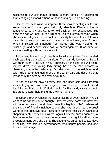response to our self-image. Nothing is more difficult to accomplish than changing outward actions without changing inward feelings.

One of the best ways to improve those inward feelings is to put some "success" under your belt. My daughter Elizabeth has a tendency to be shy and wants to hold back on new experiences. But once she has warmed up to a situation, it's "full steam ahead." When she was in first grade, her school had a candy bar sale. Each child was given thirty candy bars and was challenged to sell every one of them. When I picked up Elizabeth from school she was holding her "challenge" and needed some positive encouragement. It was time for a sales meeting with my new salesgirl.

All the way home I taught her how to sell candy bars. I surrounded each teaching point with a half dozen "You can do it—your smile will win them over—I believe in you" phrases. By the end of our fifteenminute drive, the young lady sitting beside me had become a charming, committed saleslady. Off she went to the neighborhood with little brother Joel eating one of the candy bars and declaring that it was truly the best he had ever devoured.

At the end of the day, all thirty bars had been sold and Elizabeth was feeling great. I will never forget the words she prayed as I tucked her into bed that night: "O God, thanks for the candy sale at school. It's great. O Lord, help make me a winner! Amen."

Elizabeth's prayer reflects the heart's desire of every person. We all want to be winners. Sure enough, Elizabeth came home the next day with another box of candy bars. Now the big test! She'd exhausted the supply of friendly neighbors, and she was thrust into the cruel world of the unknown buyer. Elizabeth admitted fear as we went to a shopping center to sell our wares. Again I offered encouragement, a few more selling tips, more encouragement, the right location, more encouragement. And she did it. The experience amounted to two days of selling, two sold-out performances, two happy people, and one boosted self-image.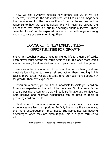How we see ourselves reflects how others see us. If we like ourselves, it increases the odds that others will like us. Self-image sets the parameters for the construction of our attitudes. We act in response to how we see ourselves. We will never go beyond the boundaries that stake out our true feelings about ourselves. Those "new territories" can be explored only when our self-image is strong enough to give us permission to go there.

## EXPOSURE TO NEW EXPERIENCES— OPPORTUNITIES FOR GROWTH

French philosopher François Voltaire likened life to a game of cards. Each player must accept the cards dealt to him. But once those cards are in the hand, he alone decides how to play them to win the game.

We always have a number of opportunities in our hand, and we must decide whether to take a risk and act on them. Nothing in life causes more stress, yet at the same time provides more opportunity for growth, than new experiences.

If you are a parent, you will find it impossible to shield your children from new experiences that might be negative. So it is essential to prepare positive encounters that will build self-image and confidence. Both positive and negative experiences can be used as tools in preparing children for life.

Children need continual reassurance and praise when their new experiences are less than positive. In fact, the worse the experience, the more encouragement they need. But sometimes we become discouraged when they are discouraged. This is a good formula to adopt:

New experiences  $+$  teaching applications x love  $=$  growth.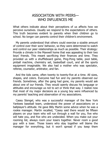### ASSOCIATION WITH PEERS— WHO INFLUENCES ME

What others indicate about their perceptions of us affects how we perceive ourselves. Usually we respond to the expectations of others. This truth becomes evident to parents when their children go to school. No longer can parents control their children's environment.

My parents understood that others could exercise a sizable amount of control over their sons' behavior, so they were determined to watch and control our peer relationships as much as possible. Their strategy: Provide a climate in the Maxwell home that was appealing to their two boys' friends. This meant sacrificing their finances and time. They provided us with a shuffleboard game, Ping-Pong table, pool table, pinball machine, chemistry set, basketball court, and all the sports equipment imaginable. We also had a mother who was spectator, referee, counselor, arbitrator, and fan.

And the kids came, often twenty to twenty-five at a time. All sizes, shapes, and colors. Everyone had fun and my parents observed our friends. Sometimes, after the gang had gone, my parents would ask about one of our friends. They would openly discuss his language or attitudes and encourage us not to act or think that way. I realize now that most of my major decisions as a young boy were influenced by my parents' teaching and observation of my associations.

Casey Stengel, who was a successful manager of the New York Yankees baseball team, understood the power of associations on a ballplayer's attitude. He gave Billy Martin some advice when he was a rookie manager. Martin recalled, "Casey said there would be fifteen players on your team who will run through a wall for you, five who will hate you, and five who are undecided. When you make out your rooming list, always room your losers together. Never room a good guy with a loser. Those losers who stay together will blame the manager for everything, but it won't spread if you keep them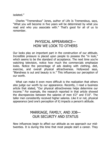isolated."

Charles "Tremendous" Jones, author of Life Is Tremendous, says, "What you will become in five years will be determined by what you read and who you associate with." That's good for all of us to remember.

# PHYSICAL APPEARANCE— HOW WE LOOK TO OTHERS

Our looks play an important part in the construction of our attitude. Incredible pressure is placed upon people to possess the "in look," which seems to be the standard of acceptance. The next time you're watching television, notice how much the commercials emphasize looks. Notice the percentage of ads dealing with clothing, diet, exercise, and overall physical attractiveness. Hollywood says, "Blandness is out and beauty is in." This influences our perception of our worth.

What can make it even more difficult is the realization that others also judge our worth by our appearance. Recently, I read a business article that stated, "Our physical attractiveness helps determine our income." For example, the research reported in that article showed the discrepancies between the salaries of men 6'2" and 5'10". The taller men consistently received higher salaries. Like it or not, physical appearance (and one's perception of it) impacts a person's attitude.

# MARRIAGE, FAMILY, AND JOB— OUR SECURITY AND STATUS

New influences begin to affect our attitude as we approach our midtwenties. It is during this time that most people start a career. They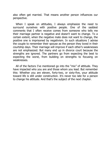also often get married. That means another person influences our perspective.

When I speak on attitudes, I always emphasize the need to surround ourselves with positive people. One of the saddest comments that I often receive comes from someone who tells me their marriage partner is negative and doesn't want to change. To a certain extent, when the negative mate does not want to change, the positive one is imprisoned by negativism. In such situations I advise the couple to remember their spouse as the person they loved in their courtship days. Their marriage will improve if each other's weaknesses are not emphasized. But many end up in divorce court because the strengths are ignored. The partners go from expecting the best to expecting the worst, from building on strengths to focusing on weaknesses.

All of the factors I've mentioned go into the "mix" of attitude. They have impacted who you are and those whom you lead. But remember this: Whether you are eleven, forty-two, or sixty-five, your attitude toward life is still under construction. It's never too late for a person to change his attitude. And that's the subject of the next chapter.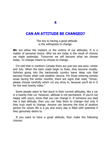**[4](#page-3-0)**

### **CAN AN ATTITUDE BE [CHANGED?](#page-3-0)**

The key to having a good attitude is the willingness to change.

**W**e are either the masters or the victims of our attitudes. It is a matter of personal choice. Who we are today is the result of choices we made yesterday. Tomorrow we will become what we choose today. To change means to choose to change.

I'm told that in northern Canada there are just two sea-sons: winter and July. When the back roads begin to thaw, they become muddy. Vehicles going into the backwoods country leave deep ruts that become frozen when cold weather returns. For those entering remote areas during the winter months, there are signs that read, "Driver, please choose carefully which rut you drive in, because you'll be in it for the next twenty miles."

Some people seem to feel stuck in their current attitudes, like a car in a twenty-mile rut. However, attitude is not permanent. If you're not happy with yours, know that you can change it. If someone you lead has a bad attitude, then you can help them to change—but only if they truly want to change. Anyone can become the kind of positive person for whom life is a joy and every day is filled with potential if they genuinely desire to.

If you want to have a great attitude, then make the following choices: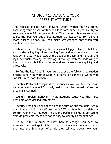### CHOICE #1: EVALUATE YOUR PRESENT ATTITUDE

The process begins with knowing where you're starting from. Evaluating your present attitude will take some time. If possible, try to separate yourself from your attitude. The goal of this exercise is not to see the "bad you" but a "bad attitude" that keeps you from being a more fulfilled person. You can make key changes only when you identify the problem.

When he sees a logjam, the professional logger climbs a tall tree and locates a key log, blows that log free, and lets the stream do the rest. An amateur would start at the edge of the jam and move all the logs, eventually moving the key log. Obviously, both methods will get the logs moving, but the professional does his work more quickly and effectively.

To find the key "logs" in your attitude, use the following evaluation process (and write your answers in a journal or someplace where you can later refer back to them):

Identify Problem Feelings: What attitudes make you feel the most negative about yourself ? Usually feelings can be sensed before the problem is clarified.

Identify Problem Behavior: What attitudes cause you the most problems when dealing with others?

Identify Problem Thinking: We are the sum of our thoughts. "As a man thinks within himself, so he is."<sup>[1](#page-79-0)</sup>What thoughts consistently control your mind? Although this is the beginning step in correcting attitude problems, these are not as easy to identify as the first two.

Clarify Truth: In order to know how to change, you need to examine your feelings in light of truth. If you are a person of faith, then use the Scriptures. What do they tell you about how your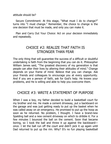attitude should be?

Secure Commitment: At this stage, "What must I do to change?" turns into "I must change." Remember, the choice to change is the one decision that must be made, and only you can make it.

Plan and Carry Out Your Choice: Act on your decision immediately and repeatedly.

## CHOICE #2: REALIZE THAT FAITH IS STRONGER THAN FEAR

The only thing that will guarantee the success of a difficult or doubtful undertaking is faith from the beginning that you can do it. Philosopher William James said, "The greatest discovery of my generation is that people can alter their lives by altering their attitudes of mind." Change depends on your frame of mind. Believe that you can change. Ask your friends and colleagues to encourage you at every opportunity. And if you are a person of faith, ask for God's help. He knows your problems, and He is willing and able to help you overcome them.

## CHOICE #3: WRITE A STATEMENT OF PURPOSE

When I was a boy, my father decided to build a basketball court for my brother and me. He made a cement driveway, put a backboard on the garage and was just getting ready to put up the basket when he was called away on an emergency. He promised to put up the hoop as soon as he returned. No problem, I thought. I have a brand-new Spalding ball and a new cement driveway on which to dribble it. For a few minutes I bounced the ball on the cement. Soon that became boring, so I took the ball and threw it up against the backboard once. I let the ball run off the court and didn't pick it up again until Dad returned to put up the rim. Why? It's no fun playing basketball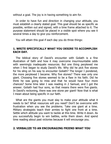without a goal. The joy is in having something to aim for.

In order to have fun and direction in changing your attitude, you must establish a clearly stated goal. This goal should be as specific as possible, written out and signed, with a time frame attached to it. The purpose statement should be placed in a visible spot where you see it several times a day to give you reinforcement.

You will attain this goal if each day you do three things:

### **1. WRITE SPECIFICALLY WHAT YOU DESIRE TO ACCOMPLISH EACH DAY.**

The biblical story of David's encounter with Goliath is a fine illustration of faith and how it may overcome insurmountable odds with seemingly inadequate resources. But one thing perplexed me when I first began to study David's life. Why did he pick five stones for his sling on his way to encounter Goliath? The longer I pondered, the more perplexed I became. Why five stones? There was only one giant. Choosing five stones seemed to be a flaw in his faith. Did he think he was going to miss and that he would have four more chances? Some time later I was reading in 2 Samuel, and I got the answer. Goliath had four sons, so that means there were five giants. In David's reckoning, there was one stone per giant! Now that is what I mean about being specific in our faith.

What are the giants you must slay to make your attitude what it needs to be? What resources will you need? Don't be overcome with frustration when you see the problems. Take one giant at a time. Military strategists teach their armies to fight one front at a time. Settle which attitude you want to tackle at this time. Write it down. As you successfully begin to win battles, write them down. And spend time reading about past victories because it will encourage you.

### **2. VERBALIZE TO AN ENCOURAGING FRIEND WHAT YOU**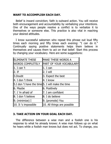### **WANT TO ACCOMPLISH EACH DAY.**

Belief is inward conviction; faith is outward action. You will receive both encouragement and accountability by verbalizing your intentions. One of the ways people resolve a conflict is to verbalize it to themselves or someone else. This practice is also vital in reaching your desired attitudes.

I know successful salesmen who repeat this phrase out loud fifty times each morning and fifty times each evening: "I can do it." Continually saying positive statements helps them believe in themselves and causes them to act on that belief. Start this process by changing your vocabulary. Here are some suggestions:

| <b>ELIMINATE THESE</b>                            | MAKE THESE WORDS A          |
|---------------------------------------------------|-----------------------------|
| <b>WORDS COMPLETELY</b>                           | PART OF YOUR VOCABULARY     |
| 1. I can $t$                                      | 1. I can                    |
| 2. If                                             | 2. I will                   |
| 3.Doubt                                           | 3. Expect the best          |
| 4. I don 't think                                 | l4. I know                  |
| 5.I don 't have the time  5. I will make the time |                             |
| 6. Maybe                                          | 6. Positively               |
| 7. I 'm afraid of                                 | 7. I am confident           |
| 8. I don 't believe                               | 8. I do believe             |
| 9. (minimize) I                                   | 9. (promote) You            |
| 10. It 's impossible                              | 10. All things are possible |

### **3. TAKE ACTION ON YOUR GOAL EACH DAY.**

The difference between a wise man and a foolish one is his response to what he already knows: A wise man follows up on what he hears while a foolish man knows but does not act. To change, you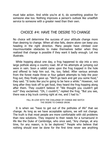must take action. And while you're at it, do something positive for someone else too. Nothing improves a person's outlook like unselfish service to someone with a greater need than their own.

## CHOICE #4: HAVE THE DESIRE TO CHANGE

No choice will determine the success of your attitude change more than desiring to change. When all else fails, desire alone can keep you heading in the right direction. Many people have climbed over insurmountable obstacles to make themselves better when they realized that change is possible if they want it badly enough. Let me illustrate.

While hopping about one day, a frog happened to slip into a very large pothole along a country road. All of his attempts at jumping out were in vain. Soon a rabbit came upon the frog trapped in the hole and offered to help him out. He, too, failed. After various animals from the forest made three or four gallant attempts to help the poor frog out, they finally gave up. "We'll go back and get you some food," they said. "It looks like you're going to be here a while." However, not long after they took off to get food, they heard the frog hopping along after them. They couldn't believe it! "We thought you couldn't get out!" they exclaimed. "Oh, I couldn't," replied the frog. "But you see, there was a big truck coming right at me, and I had to."

> FALL IN LOVE WITH THE CHALLENGE OF CHANGE AND WATCH THE DESIRE TO CHANGE GROW.

It is when we "have to get out of the potholes of life" that we change. As long as we have acceptable options, we will not change. The truth is that most people are more comfortable with old problems than new solutions. They respond to their needs for a turnaround in life like the Duke of Cambridge, who once said, "Any change, at any time, for any reason, is to be deplored." People who believe that nothing should ever be done for the first time never see anything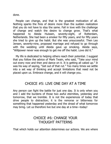done.

People can change, and that is the greatest motivation of all. Nothing sparks the fires of desire more than the sudden realization that you do not have to stay the same. Fall in love with the challenge of change and watch the desire to change grow. That's what happened to Aleida Huissen, seventy-eight, of Rotterdam, Netherlands. She had been a smoker for fifty years, and for fifty years she tried to give up the habit. But she was unsuccessful. Then Leo Jensen, seventy-nine, proposed marriage and refused to go through with the wedding until Aleida gave up smoking. Aleida says, "Willpower never was enough to get me off the habit. Love did it."

My life is dedicated to helping others reach their potential. I suggest that you follow the advice of Mark Twain, who said, "Take your mind out every now and then and dance on it. It is getting all caked up." It was his way of saying, "Get out of that rut." Too many times we settle into a set way of thinking and accept limitations that need not be placed upon us. Embrace change, and it will change you.

## CHOICE #5: LIVE ONE DAY AT A TIME

Any person can fight the battle for just one day. It is only when you and I add the burdens of those two awful eternities, yesterday and tomorrow, that we tremble. It is not the experiences of today that drive people to distraction; it is the remorse or bitterness for something that happened yesterday and the dread of what tomorrow may bring. Let us therefore live but one day at a time—today!

## CHOICE #6: CHANGE YOUR THOUGHT PATTERNS

That which holds our attention determines our actions. We are where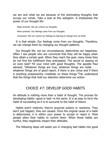we are and what we are because of the dominating thoughts that occupy our minds. Take a look at this syllogism. It emphasizes the power of our thought life:

Major premise: We can control our thoughts.

Minor premise: Our feelings come from our thoughts.

Conclusion: We can control our feelings by learning to change how we think.

It is that simple. Our feelings come from our thoughts. Therefore, we can change them by changing our thought patterns.

Our thought life, not our circumstances, determines our happiness. Often I see people who are convinced that they will be happy when they attain a certain goal. When they reach the goal, many times they do not find the fulfillment they anticipated. The secret to staying on an even keel? Fill your mind with good thoughts. The apostle Paul advised, "Whatever things are true, whatever things are noble . . . whatever things are of good report, if there is any virtue and if there is anything praiseworthy—meditate on these things."<sup>[2](#page-79-1)</sup>He understood that the things that hold our attention determine our action.

## CHOICE #7: DEVELOP GOOD HABITS

An attitude is nothing more than a habit of thought. The process for developing habits—good or bad—is the same. It is as easy to form the habit of succeeding as it is to succumb to the habit of failure.

Habits aren't instincts; they're acquired actions or reactions. They don't just happen; they are caused. Once the original cause of a habit is determined, it is within your power to accept or reject it. Most people allow their habits to control them. When those habits are hurtful, they negatively impact their attitudes.

The following steps will assist you in changing bad habits into good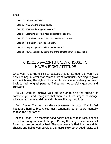#### ones:

Step #1: List your bad habits.

Step #2: What was the original cause?

Step #3: What are the supporting causes?

Step #4: Determine a positive habit to replace the bad one.

Step #5: Think about the good habit, its benefits and results.

Step #6: Take action to develop this habit.

Step #7: Daily act upon this habit for reinforcement.

Step #8: Reward yourself by noting one of the benefits from your good habit.

## CHOICE #8—CONTINUALLY CHOOSE TO HAVE A RIGHT ATTITUDE

Once you make the choice to possess a good attitude, the work has only just begun. After that comes a life of continually deciding to grow and maintaining the right outlook. Attitudes have a tendency to revert back to their original patterns if they are not carefully guarded and cultivated.

As you work to improve your attitude or to help the attitude of someone you lead, recognize that there are three stages of change where a person must deliberately choose the right attitude:

Early Stage: The first few days are always the most difficult. Old habits are hard to break. You must continually be on guard mentally to take the right action.

Middle Stage: The moment good habits begin to take root, options open that bring on new challenges. During this stage, new habits will form that can be good or bad. The good news is that the more right choices and habits you develop, the more likely other good habits will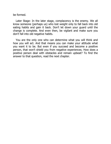be formed.

Later Stage: In the later stage, complacency is the enemy. We all know someone (perhaps us) who lost weight only to fall back into old eating habits and gain it back. Don't let down your guard until the change is complete. And even then, be vigilant and make sure you don't fall into old negative habits.

You are the only one who can determine what you will think and how you will act. And that means you can make your attitude what you want it to be. But even if you succeed and become a positive person, that won't shield you from negative experiences. How does a positive person deal with obstacles and remain upbeat? To find the answer to that question, read the next chapter.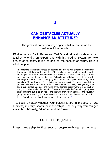### **[5](#page-3-1)**

## **CAN [OBSTACLES](#page-3-1) ACTUALLY ENHANCE AN ATTITUDE?**

The greatest battle you wage against failure occurs on the inside, not the outside.

**W**orking artists David Bayles and Ted Orland tell a story about an art teacher who did an experiment with his grading system for two groups of students. It is a parable on the benefits of failure. Here is what happened:

The ceramics teacher announced on opening day that he was dividing the class into two groups. All those on the left side of the studio, he said, would be graded solely on the quantity of work they produced, all those on the right solely on its quality. His procedure was simple: on the final day of class he would bring in his bathroom scale and weigh the work of the "quantity" group: fifty pounds of pots rated an "A," forty pounds a "B," and so on. Those being graded on "quality," however, needed to produce only one pot—albeit a perfect one—to get an "A." Well, come grading time and a curious fact emerged: the works of the highest quality were all produced by the group being graded for quantity. It seems that while the "quantity" group was busily churning out piles of work—and learning from their mistakes—the "quality" group had sat theorizing about perfection, and in the end had little more to show for their efforts than grandiose theories and a pile of dead clay. $^{\underline{1}}$  $^{\underline{1}}$  $^{\underline{1}}$ 

It doesn't matter whether your objectives are in the area of art, business, ministry, sports, or relationships. The only way you can get ahead is to fail early, fail often, and fail forward.

## TAKE THE JOURNEY

I teach leadership to thousands of people each year at numerous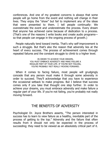conferences. And one of my greatest concerns is always that some people will go home from the event and nothing will change in their lives. They enjoy the "show" but fail to implement any of the ideas that were presented to them. I tell people continually: We overestimate the event and underestimate the process. Every dream that anyone has achieved came because of dedication to a process. (That's one of the reasons I write books and create audio programs so that people can engage in the ongoing process of growth.)

People naturally tend toward inertia. That's why self-improvement is such a struggle. But that's also the reason that adversity lies at the heart of every success. The process of achievement comes through repeated failures and the constant struggle to climb to a higher level.

> IN ORDER TO ACHIEVE YOUR DREAMS, YOU MUST EMBRACE ADVERSITY AND MAKE FAILURE A REGULAR PART OF YOUR LIFE. IF YOU'RE NOT FAILING, YOU'RE PROBABLY NOT REALLY MOVING FORWARD.

When it comes to facing failure, most people will grudgingly concede that any person must make it through some adversity in order to succeed. They'll acknowledge that you have to experience the occasional setback to make progress. But I believe that success comes only if you take that thought one step further. In order to achieve your dreams, you must embrace adversity and make failure a regular part of your life. If you're not failing, you're probably not really moving forward.

## THE BENEFITS OF ADVERSITY

Psychologist Dr. Joyce Brothers asserts, "The person interested in success has to learn to view failure as a healthy, inevitable part of the process of getting to the top." Adversity and the failure that often results from it should not only be expected in the process of succeeding; they need to be viewed as an absolutely critical part of it.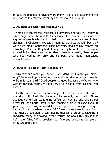In fact, the benefits of adversity are many. Take a look at some of the key reasons to embrace adversity and persevere through it:

### **1. ADVERSITY CREATES RESILIENCE**

Nothing in life breeds resilience like adversity and failure. A study in Time magazine in the mid-1980s described the incredible resilience of a group of people who had lost their jobs three times because of plant closings. Psychologists expected them to be discouraged, but they were surprisingly optimistic. Their adversity had actually created an advantage. Because they had already lost a job and found a new one at least twice, they were better able to handle adversity than people who had worked for only one company and found themselves unemployed.<sup>[2](#page-79-3)</sup>

### **2. ADVERSITY DEVELOPS MATURITY**

Adversity can make you better if you don't let it make you bitter. Why? Because it promotes wisdom and maturity. American novelist William Saroyan said, "Good people are good because they've come to wisdom through failure. We get very little wisdom from success, you know."

As the world continues to change at a faster and faster rate, maturity with flexibility becomes increasingly important. Those qualities come from weathering difficulties. Harvard business school professor John Kotter says, "I can imagine a group of executives 20 years ago discussing a candidate for a top job and saying, 'This guy had a big failure when he was 32.' Everyone else would say, 'Yep, yep, that's a bad sign.' I can imagine that same group considering a candidate today and saying, 'What worries me about this guy is that he's never failed."<sup>[3](#page-79-4)</sup>The problems we face and overcome prepare us for future difficulties.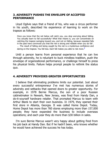### **3. ADVERSITY PUSHES THE ENVELOPE OF ACCEPTED PERFORMANCE**

Lloyd Ogilvie says that a friend of his, who was a circus performer in his youth, described his experience of learning to work on the trapeze as follows:

Once you know that the net below will catch you, you stop worrying about falling. You actually learn to fall successfully! What that means is, you can concentrate on catching the trapeze swinging toward you, and not on falling, because repeated falls in the past have convinced you that the net is strong and reliable when you do fall . . . The result of falling and being caught by the net is a mysterious confidence and daring on the trapeze. You fall less. Each fall makes you able to risk more.<sup>[4](#page-79-5)</sup>

Until a person learns from personal experience that he can live through adversity, he is reluctant to buck mindless tradition, push the envelope of organizational performance, or challenge himself to press his physical limits. Failure helps prompt people to rethink the status quo.

### **4. ADVERSITY PROVIDES GREATER OPPORTUNITIES**

I believe that eliminating problems limits our potential. Just about every successful entrepreneur I've met has numerous stories of adversity and setbacks that opened doors to greater opportunity. For example, in 1978 Bernie Marcus, the son of a poor Russian cabinetmaker in Newark, New Jersey, was fired from Handy Dan, a do-it-yourself hardware retailer. That prompted Marcus to team with Arthur Blank to start their own business. In 1979, they opened their first store in Atlanta, Georgia. It was called Home Depot. Today, Home Depot has more than 760 stores employing more than 157,000 people; they have expanded the business to include overseas operations; and each year they do more than \$30 billion in sales.

I'm sure Bernie Marcus wasn't very happy about getting fired from his job back at Handy Dan. But if he hadn't been, who knows whether he would have achieved the success he has today.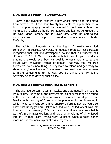### **5. ADVERSITY PROMPTS INNOVATION**

Early in the twentieth century, a boy whose family had emigrated from Sweden to Illinois sent twenty-five cents to a publisher for a book on photography. What he received instead was a book on ventriloquism. What did he do? He adapted and learned ventriloquism. He was Edgar Bergen, and for over forty years he entertained audiences with the help of a wooden dummy named Charlie McCarthy.

The ability to innovate is at the heart of creativity—a vital component in success. University of Houston professor Jack Matson recognized that fact and developed a course that his students call "Failure 101." In it, Matson has students build mock-ups of products that no one would ever buy. His goal is to get students to equate failure with innovation instead of defeat. That way they will free themselves to try new things. "They learn to reload and get ready to shoot again," says Matson. If you want to succeed, you have to learn to make adjustments to the way you do things and try again. Adversity helps to develop that ability.

### **6. ADVERSITY BRINGS UNEXPECTED BENEFITS**

The average person makes a mistake, and automatically thinks that it's a failure. But some of the greatest stories of success can be found in the unexpected benefits of mistakes. For example, most people are familiar with the story of Edison and the phonograph: He discovered it while trying to invent something entirely different. But did you also know that Kellogg's Corn Flakes resulted when boiled wheat was left in a baking pan overnight? Or that Ivory soap floats because a batch was left in the mixer too long and had a large volume of air whipped into it? Or that Scott Towels were launched when a toilet paper machine put too many layers of tissue together?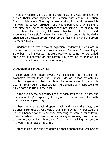Horace Walpole said that "in science, mistakes always precede the truth." That's what happened to German-Swiss chemist Christian Friedrich Schönbein. One day he was working in the kitchen—which his wife had strictly forbidden—and was experimenting with sulfuric and nitric acid. When he accidentally spilled some of the mixture on the kitchen table, he thought he was in trouble. (He knew he would experience "adversity" when his wife found out!) He hurriedly snatched up a cotton apron, wiped up the mess, and hung the apron by the fire to dry.

Suddenly there was a violent explosion. Evidently the cellulose in the cotton underwent a process called "nitration." Unwittingly, Schönbein had invented nitrocellulose—what came to be called smokeless gunpowder or gun-cotton. He went on to market his invention, which made him a lot of money.

### **7. ADVERSITY MOTIVATES**

Years ago when Bear Bryant was coaching the University of Alabama's football team, the Crimson Tide was ahead by only six points in a game with less than two minutes remaining in the fourth quarter. Bryant sent his quarterback into the game with instructions to play it safe and run out the clock.

In the huddle, the quarterback said, "Coach says to play it safe, but that's what they're expecting. Let's give them a surprise." And with that, he called a pass play.

When the quarterback dropped back and threw the pass, the defending cornerback, who was a champion sprinter, intercepted the ball and headed for the end zone expecting to score a touchdown. The quarterback, who was not known as a good runner, took off after the cornerback and ran him down from behind, tackling him on the five-yard line. It saved the game.

After the clock ran out, the opposing coach approached Bear Bryant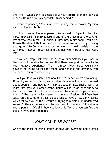and said, "What's this business about your quarterback not being a runner? He ran down my speedster from behind!"

Bryant responded, "Your man was running for six points. My man was running for his life."

Nothing can motivate a person like adversity. Olympic diver Pat McCormick said, "I think failure is one of the great motivators. After my narrow loss in the 1948 trials, I knew how really good I could be. It was the defeat that focused all my concentration on my training and goals." McCormick went on to win two gold medals in the Olympics in London that year and another two in Helsinki four years later.

If you can step back from the negative circumstances you face in life, you will be able to discover that there are positive benefits to your negative experiences. That is almost always true; you simply have to be willing to look for them—and not take the adversity you are experiencing too personally.

So if you lose your job, think about the resilience you're developing. If you try something daring and survive, think about what you learned about yourself—and how it will help you take on new challenges. If a restaurant gets your order wrong, figure out if it's an opportunity to learn a new skill. And if you experience a train wreck in your career, think of the maturity it's developing in you. Besides, Bill Vaughan says, "In the game of life it's a good idea to have a few early losses, which relieves you of the pressure of trying to maintain an undefeated season." Always measure an obstacle next to the size of the dream you're pursuing. It's all in how you look at it. Try, and you can find the good in every bad experience.

## WHAT COULD BE WORSE?

One of the most incredible stories of adversity overcome and success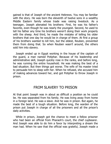gained is that of Joseph of the ancient Hebrews. You may be familiar with the story. He was born the eleventh of twelve sons in a wealthy Middle Eastern family whose trade was raising livestock. As a teenager, Joseph alienated his brothers: First, he was his father's favorite, even though he was nearly the youngest. Second, he used to tell his father any time his brothers weren't doing their work properly with the sheep. And third, he made the mistake of telling his older brothers that one day he would be in charge of them. At first a group of his brothers wanted to kill him, but the eldest, Reuben, prevented them from doing that. So when Reuben wasn't around, the others sold him into slavery.

Joseph ended up in Egypt working in the house of the captain of the guard, a man named Potiphar. Because of his leadership and administrative skill, Joseph quickly rose in the ranks, and before long, he was running the entire household. He was making the best of a bad situation. But then things got worse. The wife of his master tried to persuade him to sleep with her. When he refused, she accused him of making advances toward her, and got Potiphar to throw Joseph in prison.

## FROM SLAVERY TO PRISON

At that point Joseph was in about as difficult a position as he could be. He was separated from his family. He was living away from home in a foreign land. He was a slave. And he was in prison. But again, he made the best of a tough situation. Before long, the warden of the prison put Joseph in charge of all the prisoners and all the prison's daily activities.

While in prison, Joseph got the chance to meet a fellow prisoner who had been an official from Pharaoh's court, the chief cupbearer. And Joseph was able to do him a favor by interpreting a dream the man had. When he saw that the official was grateful, Joseph made a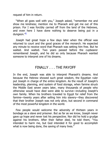request of him in return.

"When all goes well with you," Joseph asked, "remember me and show me kindness; mention me to Pharaoh and get me out of this prison. For I was forcibly carried off from the land of the Hebrews, and even here I have done nothing to deserve being put in a dungeon."<sup>[5](#page-79-6)</sup>

Joseph had great hope a few days later when the official was returned to court and the good graces of the monarch. He expected any minute to receive word that Pharaoh was setting him free. But he waited. And waited. Two years passed before the cupbearer remembered Joseph, and he did so only because Pharaoh wanted someone to interpret one of his dreams.

## FINALLY . . . THE PAYOFF

In the end, Joseph was able to interpret Pharaoh's dreams. And because the Hebrew showed such great wisdom, the Egyptian ruler put Joseph in charge of the entire kingdom. As the result of Joseph's leadership, planning, and system of food storage, when famine struck the Middle East seven years later, many thousands of people who otherwise would have died were able to survive—including Joseph's own family. When his brothers traveled to Egypt for relief from the famine—twenty years after selling him into slavery—they discovered that their brother Joseph was not only alive, but second in command of the most powerful kingdom in the world.

Few people would welcome the adversity of thirteen years in bondage as a slave and prisoner. But as far as we know, Joseph never gave up hope and never lost his perspective. Nor did he hold a grudge against his brothers. After their father died, he told them, "You intended to harm me, but God intended it for good to accomplish what is now being done, the saving of many lives."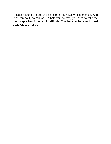Joseph found the positive benefits in his negative experiences. And if he can do it, so can we. To help you do that, you need to take the next step when it comes to attitude. You have to be able to deal positively with failure.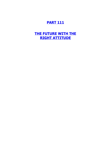# **[PART](#page-3-2) 111**

# **THE FUTURE WITH THE RIGHT [ATTITUDE](#page-3-2)**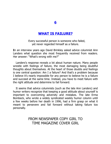**[6](#page-3-3)**

### **WHAT IS [FAILURE?](#page-3-3)**

Every successful person is someone who failed, yet never regarded himself as a failure.

**I**n an interview years ago David Brinkley asked advice columnist Ann Landers what question she most frequently received from readers. Her answer: "What's wrong with me?"

Landers's response reveals a lot about human nature. Many people wrestle with feelings of failure, the most damaging being doubtful thoughts about themselves. At the heart of those doubts and feelings is one central question: Am I a failure? And that's a problem because I believe it's nearly impossible for any person to believe he is a failure and succeed at the same time. Instead, you have to meet failure with the right attitude and determine to fail forward.

It seems that advice columnists (such as the late Ann Landers) and humor writers recognize that keeping a good attitude about yourself is important to overcoming adversity and mistakes. The late Erma Bombeck, who wrote a widely syndicated weekly humor column until a few weeks before her death in 1996, had a firm grasp on what it meant to persevere and fail forward without taking failure too personally.

> FROM NEWSPAPER COPY GIRL TO TIME MAGAZINE COVER GIRL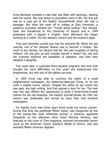Erma Bombeck traveled a road that was filled with adversity, starting with her career. She was drawn to journalism early in life. Her first job was as a copy girl at the Dayton JournalHerald when she was a teenager. But when she went off to college at Ohio University, a guidance counselor advised her, "Forget about writing." She refused. Later she transferred to the University of Dayton and in 1949 graduated with a degree in English. Soon afterward she began working as a writer—for the obituary column and the women's page.

That year adversity carried over into her personal life. When she got married, one of her deepest desires was to become a mother. But much to her dismay, her doctors told her she was incapable of having children. Did she give up and consider herself a failure? No, she and her husband explored the possibility of adoption, and then they adopted a daughter.

Two years later, a surprised Erma became pregnant. But even that brought her more difficulties. In four years she experienced four pregnancies, but only two of the babies survived.

In 1964 Erma was able to convince the editor of a small neighborhood newspaper, the Kettering-Oakwood Times, to let her write a weekly humor column. Despite the pitiful \$3 per article she was paid, she kept writing. And that opened a door for her. The next year she was offered the opportunity to write a three-times-a-week column for her old employer, the Dayton Journal-Herald. By 1967 her column was syndicated and carried by more than nine hundred newspapers.

For slightly more than thirty years Erma wrote her humor column. During that time she published fifteen books, was recognized as one of the twenty-five most influential women in America, appeared frequently on the television show Good Morning America, was featured on the cover of Time magazine, received innumerable honors (such as the American Cancer Society's Medal of Honor), and was awarded fifteen honorary degrees.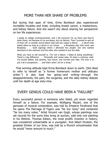## MORE THAN HER SHARE OF PROBLEMS

But during that span of time, Erma Bombeck also experienced incredible troubles and trials, including breast cancer, a mastectomy, and kidney failure. And she wasn't shy about sharing her perspective on her life experiences:

I speak at college commencements, and I tell everyone I'm up there and they're down there, not because of my successes, but my failures. Then I proceed to spin all of them off—a comedy record album that sold two copies in Beirut . . . a sitcom that lasted about as long as a donut in our house . . . a Broadway play that never saw Broadway . . . book signings where I attracted two people: one who wanted directions to the restroom and the other who wanted to buy the desk.

What you have to tell yourself is, "I'm not a failure. I failed at doing something." There's a big difference . . . Personally and career-wise, it's been a corduroy road. I've buried babies, lost parents, had cancer, and worried over kids. The trick is to put it all in perspective . . . and that's what I do for a living  $^{\underline{1}}$  $^{\underline{1}}$  $^{\underline{1}}$ 

That winning attitude kept Erma Bombeck down to earth. (She liked to refer to herself as "a former homeroom mother and obituary writer.") It also kept her going—and writing—through the disappointments, the pain, the surgeries, and the daily kidney dialysis until her death at age sixty-nine.

## EVERY GENIUS COULD HAVE BEEN A "FAILURE"

Every successful person is someone who failed, yet never regarded himself as a failure. For example, Wolfgang Mozart, one of the geniuses of musical composition, was told by Emperor Ferdinand that his opera The Marriage of Figaro was "far too noisy" and contained "far too many notes." Artist Vincent van Gogh, whose paintings now set records for the sums they bring at auction, sold only one painting in his lifetime. Thomas Edison, the most prolific inventor in history, was considered unteachable as a youngster. And Albert Einstein, the greatest thinker of our time, was told by a Munich schoolmaster that he would "never amount to much."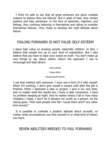I think it's safe to say that all great achievers are given multiple reasons to believe they are failures. But in spite of that, they remain positive and they persevere. In the face of adversity, rejection, and failings, they continue believing in themselves and refuse to consider themselves failures. They chose to develop the right attitude about failure.

## FAILING FORWARD IS NOT FALSE SELF-ESTEEM

I place high value on praising people, especially children. In fact, I believe that people live up to your level of expectation. But I also believe that you have to base your praise on truth. You don't make up nice things to say about others. Here's the approach I use to encourage and lead others:

Value people.

Praise effort.

Reward performance.

I use that method with everyone. I even use a form of it with myself. When I'm working, I don't give myself a reward until after the job is finished. When I approach a task or project, I give it my very best, and no matter what the results are, I have a clear conscience. I have no problem sleeping at night. And no matter where I fail or how many mistakes I make, I don't let it devalue my worth as a person. As the saying goes, "God uses people who fail—'cause there aren't any other kind around."

It is possible to cultivate a positive attitude about yourself, no matter what circumstances you find yourself in or what kind of history you have.

## SEVEN ABILITIES NEEDED TO FAIL FORWARD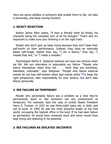Here are seven abilities of achievers that enable them to fail, not take it personally, and keep moving forward:

### **1. REJECT REJECTION**

Author James Allen states, "A man is literally what he thinks, his character being the complete sum of all his thought." That's why it's important to make sure your thinking is on the right track.

People who don't give up keep trying because they don't base their self-worth on their performance. Instead, they have an internally based self-image. Rather than say, "I am a failure," they say, "I missed that one," or "I made a mistake."

Psychologist Martin E. Seligman believes we have two choices when we fail: We can internalize or externalize our failure. "People who blame themselves when they fail . . . think they are worthless, talentless, unlovable," says Seligman. "People who blame external events do not lose self-esteem when bad events strike."<sup>[2](#page-80-1)</sup>To keep the right perspective, take responsibility for your actions, but don't take failure personally.

### **2. SEE FAILURE AS TEMPORARY**

People who personalize failure see a problem as a hole they're permanently stuck in. But achievers see any predicament as temporary. For example, take the case of United States President Harry S. Truman. In 1922 he was thirty-eight years old, in debt, and out of work. In 1945 he was the most powerful leader of the free world, occupying the highest office in the land. If he had seen failure as permanent, he would have remained stuck and never would have kept trying and believing in his potential.

### **3. SEE FAILURES AS ISOLATED INCIDENTS**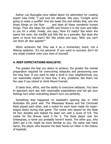Author Leo Buscaglia once talked about his admiration for cooking expert Julia Child: "I just love her attitude. She says, 'Tonight we're going to make a soufflé!' And she beats this and whisks that, and she drops things on the floor . . . and does all these wonderful human things. Then she takes the soufflé and throws it in the oven and talks to you for a while. Finally, she says, 'Now it's ready!' But when she opens the oven, the soufflé just falls flat as a pancake. But does she panic or burst into tears? No! She smiles and says, 'Well, you can't win them all. Bon appetit!"

When achievers fail, they see it as a momentary event, not a lifelong epidemic. It's not personal. If you want to succeed, don't let any single incident color your view of yourself.

### **4. KEEP EXPECTATIONS REALISTIC**

The greater the feat you desire to achieve, the greater the mental preparation required for overcoming obstacles and persevering over the long haul. If you want to take a stroll in your neighborhood, you can reasonably expect to have few, if any, problems. But that's not the case if you intend to climb Mount Everest.

It takes time, effort, and the ability to overcome setbacks. You have to approach each day with reasonable expectations and not get your feelings hurt when everything doesn't turn out perfectly.

Something that happened on baseball's opening day in 1954 illustrates the point well. The Milwaukee Braves and the Cincinnati Reds played each other, and a rookie for each team made his majorleague debut during that game. The rookie who played for the Reds hit four doubles and helped his team win with a score of 9-8. The rookie for the Braves went 0 for 5. The Reds player was Jim Greengrass, a name you probably haven't heard. The other guy, who didn't get a hit, might be more familiar to you. His name was Hank Aaron, the player who became the best home-run hitter in the history of baseball.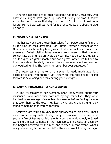If Aaron's expectations for that first game had been unrealistic, who knows? He might have given up baseball. Surely he wasn't happy about his performance that day, but he didn't think of himself as a failure. He had worked too hard for too long. He wasn't about to give up easily.

### **5. FOCUS ON STRENGTHS**

Another way achievers keep themselves from personalizing failure is by focusing on their strengths. Bob Butera, former president of the New Jersey Devils hockey team, was asked what makes a winner. He answered, "What distinguishes winners from losers is that winners concentrate at all times on what they can do, not on what they can't do. If a guy is a great shooter but not a great skater, we tell him to think only about the shot, the shot, the shot—never about some other guy outskating him. The idea is to remember your successes."

If a weakness is a matter of character, it needs much attention. Focus on it until you shore it up. Otherwise, the best bet for failing forward is developing and maximizing your strengths.

### **6. VARY APPROACHES TO ACHIEVEMENT**

In The Psychology of Achievement, Brian Tracy writes about four millionaires who made their fortunes by age thirty-five. They were involved in an average of seventeen businesses before finding the one that took them to the top. They kept trying and changing until they found something that worked for them.

Achievers are willing to vary their approaches to problems. That's important in every walk of life, not just business. For example, if you're a fan of track-and-field events, you have undoubtedly enjoyed watching athletes compete in the high jump. I'm always amazed by the heights achieved by the men and women in that event. What's really interesting is that in the 1960s, the sport went through a major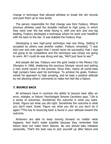change in technique that allowed athletes to break the old records and push them up to new levels.

The person responsible for that change was Dick Fosbury. Where previous athletes used the straddle method to high jump, in which they went over the bar while facing it, with one arm and one leg leading, Fosbury developed a technique where he went over headfirst with his back to the bar. It was dubbed the Fosbury Flop.

Developing a new high-jump technique was one thing. Getting it accepted by others was another matter. Fosbury remarked, "I was told over and over again that I would never be successful, that I was not going to be competitive and the technique was simply not going to work. All I could do was shrug and say, 'We'll just have to see.'"

And people did see. Fosbury won the gold medal in the Mexico City Olympics in 1968, shattering the previous Olympic record and setting a new world record in the process. Since then, nearly all world-class high jumpers have used his technique. To achieve his goals, Fosbury varied his approach to high jumping, and he kept a positive attitude by not allowing others' comments to make him feel like a failure.

#### **7. BOUNCE BACK**

All achievers have in common the ability to bounce back after an error, mistake, or failure. Psychologist Simone Caruthers says, "Life is a series of outcomes. Sometimes the outcome is what you want. Great. Figure out what you did right. Sometimes the outcome is what you don't want. Great. Figure out what you did so you don't do it again."<sup>[3](#page-80-2)</sup>The key to bouncing back is found in your attitude toward the outcome.

Achievers are able to keep moving forward no matter what happens. And that's made possible because they remember that failure does not make them failures. No one should take mistakes personally. That's the best way to pick yourself up after failure and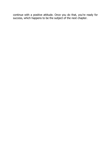continue with a positive attitude. Once you do that, you're ready for success, which happens to be the subject of the next chapter.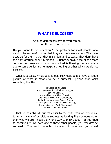### **WHAT IS [SUCCESS?](#page-3-4)**

Attitude determines how far you can go on the success journey.

**Do** you want to be successful? The problem for most people who want to be successful is not that they can't achieve success. The main obstacle for them is that they misunderstand success. They don't have the right attitude about it. Maltbie D. Babcock said, "One of the most common mistakes and one of the costliest is thinking that success is due to some genius, some magic, something or other which we do not possess."

What is success? What does it look like? Most people have a vague picture of what it means to be a successful person that looks something like this:

> The wealth of Bill Gates, the physique of Arnold Schwarzenegger, (or Tyra Banks), the intelligence of Albert Einstein, the athletic ability of Michael Jordan, the business prowess of Donald Trump, the social grace and poise of Jackie Kennedy, the imagination of Walt Disney, and the heart of Mother Teresa.

That sounds absurd, but it's closer to the truth than we would like to admit. Many of us picture success as looking like someone other than who we are. That's the wrong way to think about it. If you tried to become just like even one of these other people, you wouldn't be successful. You would be a bad imitation of them, and you would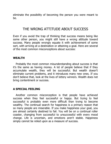eliminate the possibility of becoming the person you were meant to be.

## THE WRONG ATTITUDE ABOUT SUCCESS

Even if you avoid the trap of thinking that success means being like some other person, you might still have a wrong attitude toward success. Many people wrongly equate it with achievement of some sort, with arriving at a destination or attaining a goal. Here are several of the most common misconceptions about success:

### **WEALTH**

Probably the most common misunderstanding about success is that it's the same as having money. A lot of people believe that if they accumulate wealth, they will be successful. But wealth doesn't eliminate current problems, and it introduces many new ones. If you don't believe that, look at the lives of lottery winners. Wealth does not bring contentment or success.

### **A SPECIAL FEELING**

Another common misconception is that people have achieved success when they feel successful or happy. But trying to feel successful is probably even more difficult than trying to become wealthy. The continual search for happiness is a primary reason that so many people are miserable. If you make happiness your goal, you are almost certainly destined to fail. You will be on a continual roller coaster, changing from successful to unsuccessful with every mood change. Life is uncertain, and emotions aren't stable. Happiness simply cannot be relied upon as a measure of success.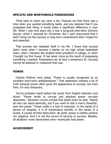### **SPECIFIC AND WORTHWHILE POSSESSIONS**

Think back to when you were a kid. Chances are that there was a time when you wanted something badly, and you believed that if you possessed that thing, it would make a significant difference in your life. When I was nine years old, it was a burgundy-and-silver Schwinn bicycle, which I received for Christmas. But I soon discovered that it didn't bring me the success or long-term contentment that I hoped for and expected.

That process has repeated itself in my life. I found that success didn't come when I became a starter on my high school basketball team, when I became the student body president in college, or when I bought my first house. It has never come as the result of possessing something I wanted. Possessions are at best a temporary fix. Success cannot be attained or measured that way.

### **POWER**

Charles McElroy once joked, "Power is usually recognized as an excellent short-term antidepressant." That statement contains a lot of truth because power often gives the appearance of success, but even then, it's only temporary.

You've probably heard before the quote from English historian Lord Acton: "Power tends to corrupt and absolute power corrupts absolutely." Abraham Lincoln echoed that belief when he said, "Nearly all men can stand adversity, but if you want to test a man's character, give him power." Power really is a test of character. In the hands of a person of integrity, it is of tremendous benefit; in the hands of a tyrant, it causes terrible destruction. By itself, power is neither positive nor negative. And it is not the source of security or success. Besides, all dictators—even benevolent ones—eventually lose power.

### **ACHIEVEMENT**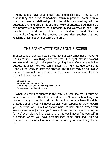Many people have what I call "destination disease." They believe that if they can arrive somewhere—attain a position, accomplish a goal, or have a relationship with the right person—they will be successful. At one time I had a similar view of success. I defined it as the progressive realization of a predetermined worthwhile goal. But over time I realized that the definition fell short of the mark. Success isn't a list of goals to be checked off one after another. It's not reaching a destination. Success is a journey.

## THE RIGHT ATTITUDE ABOUT SUCCESS

If success is a journey, how do you get started? What does it take to be successful? Two things are required: the right attitude toward success and the right principles for getting there. Once you redefine success as a journey, you can maintain the right attitude toward it. Then you're ready to start the process. The results may be as unique as each individual, but the process is the same for everyone. Here is my definition of success:

Success is . . . Knowing your purpose in life, Growing to reach your maximum potential, and Sowing seeds that benefit others.

When you think of success in this way, you can see why it must be seen as a journey rather than a destination. No matter how long you live or what you decide to do in life, as long as you have the right attitude about it, you will never exhaust your capacity to grow toward your potential or run out of opportunities to help others. When you see success as a journey, you'll never have the problem of trying to "arrive" at an elusive final destination. And you'll never find yourself in a position where you have accomplished some final goal, only to discover that you're still unfulfilled and searching for something else to do.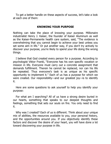To get a better handle on these aspects of success, let's take a look at each one of them:

#### **KNOWING YOUR PURPOSE**

Nothing can take the place of knowing your purpose. Millionaire industrialist Henry J. Kaiser, the founder of Kaiser Aluminum as well as the Kaiser-Permanente health care system, said, "The evidence is overwhelming that you cannot begin to achieve your best unless you set some aim in life." Or put another way, if you don't try actively to discover your purpose, you're likely to spend your life doing the wrong things.

I believe that God created every person for a purpose. According to psychologist Viktor Frankl, "Everyone has his own specific vocation or mission in life. Everyone must carry out a concrete assignment that demands fulfillment. Therein he cannot be replaced, nor can his life be repeated. Thus everyone's task is as unique as his specific opportunity to implement it." Each of us has a purpose for which we were created. Our responsibility—and our greatest joy—is to identify it.

Here are some questions to ask yourself to help you identify your purpose:

For what am I searching? All of us have a strong desire buried in our hearts, something that speaks to our deepest thoughts and feelings, something that sets our souls on fire. You only need to find it.

Why was I created? Each of us is different. Think about your unique mix of abilities, the resources available to you, your personal history, and the opportunities around you. If you objectively identify these factors and discover the desire of your heart, you will have done a lot toward discovering your purpose in life.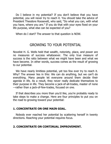Do I believe in my potential? If you don't believe that you have potential, you will never try to reach it. You should take the advice of President Theodore Roosevelt, who said, "Do what you can, with what you have, where you are." If you do that with your eyes fixed on your life purpose, what else can be expected of you?

When do I start? The answer to that question is NOW.

### GROWING TO YOUR POTENTIAL

Novelist H. G. Wells held that wealth, notoriety, place, and power are no measures of success whatsoever. The only true measure of success is the ratio between what we might have been and what we have become. In other words, success comes as the result of growing to our potential.

We have nearly limitless potential, yet too few ever try to reach it. Why? The answer lies in this: We can do anything, but we can't do everything. Many people let everyone around them decide their agenda in life. As a result, they never really dedicate themselves to their purpose in life. They become a jack-of-all-trades, master of none —rather than a jack-of-few-trades, focused on one.

If that describes you more than you'd like, you're probably ready to take steps to make a change. Here are four principles to put you on the road to growing toward your potential:

### **1. CONCENTRATE ON ONE MAIN GOAL.**

Nobody ever reached her potential by scattering herself in twenty directions. Reaching your potential requires focus.

### **2. CONCENTRATE ON CONTINUAL IMPROVEMENT.**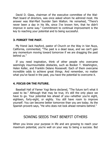David D. Glass, chairman of the executive committee of the Wal-Mart board of directors, was once asked whom he admired most. His answer was Wal-Mart founder Sam Walton. He remarked, "There's never been a day in his life, since I've known him, that he didn't improve in some way." Commitment to continual improvement is the key to reaching your potential and to being successful.

### **3. FORGET THE PAST.**

My friend Jack Hayford, pastor of Church on the Way in Van Nuys, California, commented, "The past is a dead issue, and we can't gain any momentum moving toward tomorrow if we are dragging the past behind us."

If you need inspiration, think of other people who overcame seemingly insurmountable obstacles, such as Booker T. Washington, Helen Keller, and Franklin Delano Roosevelt. Each of them overcame incredible odds to achieve great things. And remember, no matter what you've faced in the past, you have the potential to overcome it.

### **4. FOCUS ON THE FUTURE.**

Baseball Hall of Famer Yogi Berra declared, "The future isn't what it used to be." Although that may be true, it's still the only place we have to go. Your potential lies ahead of you—whether you're eight, eighteen, forty-eight, or eighty. You still have room to improve yourself. You can become better tomorrow than you are today. As the Spanish proverb says, "He who does not look ahead remains behind."

## SOWING SEEDS THAT BENEFIT OTHERS

When you know your purpose in life and are growing to reach your maximum potential, you're well on your way to being a success. But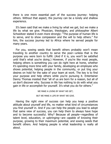there is one more essential part of the success journey: helping others. Without that aspect, the journey can be a lonely and shallow experience.

It's been said that we make a living by what we get, but we make a life by what we give. Physician, theologian, and philosopher Albert Schweitzer stated it even more strongly: "The purpose of human life is to serve, and to show compassion and the will to help others." For him, the success journey led to Africa where he served people for many years.

For you, sowing seeds that benefit others probably won't mean traveling to another country to serve the poor—unless that is the purpose you were born to fulfill. (And if it is, you won't be satisfied until that's what you're doing.) However, if you're like most people, helping others is something you can do right here at home, whether it's spending more time with your family, developing an employee who shows potential, helping people in the community, or put ting your desires on hold for the sake of your team at work. The key is to find your purpose and help others while you're pursuing it. Entertainer Danny Thomas insisted that "all of us are born for a reason, but all of us don't discover why. Success in life has nothing to do with what you gain in life or accomplish for yourself. It's what you do for others."

WE MAKE A LIVING BY WHAT WE GET;

BUT WE MAKE A LIFE BY WHAT WE GIVE.

Having the right view of success can help you keep a positive attitude about yourself and life, no matter what kind of circumstances you find yourself in. And if you can help the people you lead to adopt that same view of success, you can help them to always have hope and to become successful. Why? Because all people—regardless of talent level, education, or upbringing—are capable of knowing their purpose, growing to their maximum potential, and sowing seeds that benefit others. And helping people is what leadership is really all about.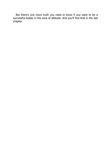But there's one more truth you need to know if you want to be a successful leader in the area of attitude. And you'll find that in the last chapter.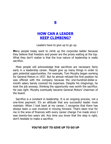#### **[8](#page-3-0)**

### **HOW CAN A LEADER KEEP [CLIMBING?](#page-3-0)**

Leaders have to give up to go up.

**M**any people today want to climb up the corporate ladder because they believe that freedom and power are the prizes waiting at the top. What they don't realize is that the true nature of leadership is really sacrifice.

Most people will acknowledge that sacrifices are necessary fairly early in a leadership career. People give up many things in order to gain potential opportunities. For example, Tom Murphy began working for General Motors in 1937. But he almost refused the first position he was offered with the company because the one-hundred-dollar-amonth salary barely covered his expenses. Despite his misgivings, he took the job anyway, thinking the opportunity was worth the sacrifice. He was right. Murphy eventually became General Motors' chairman of the board.

Sacrifice is a constant in leadership. It is an ongoing process, not a one-time payment. It's an attitude that any successful leader must maintain. When I look back at my career, I recognize that there has always been a cost involved in moving forward. That's been true for me in the area of finances with every career change I've made since I was twenty-two years old. Any time you know that the step is right, don't hesitate to make a sacrifice.

#### **YOU'VE GOT TO GIVE UP TO GO UP**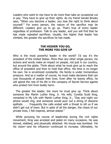Leaders who want to rise have to do more than take an occasional cut in pay. They have to give up their rights. As my friend Gerald Brooks says, "When you become a leader, you lose the right to think about yourself." For every person, the nature of the sacrifice may be different. Leaders give up to go up. That's true of every leader regardless of profession. Talk to any leader, and you will find that he has made repeated sacrifices. Usually, the higher that leader has climbed, the greater the sacrifices he has made.

#### **THE HIGHER YOU GO, THE MORE YOU GIVE UP**

Who is the most powerful leader in the world? I'd say it's the president of the United States. More than any other single person, his actions and words make an impact on people, not just in our country, but around the globe. Think about what he must give up to reach the office of president and then to hold that office. His time is no longer his own. He is scrutinized constantly. His family is under tremendous pressure. And as a matter of course, he must make decisions that can cost thousands of people their lives. Even after he leaves office, he will spend the rest of his life in the company of Secret Service agents who protect him from bodily harm.

The greater the leader, the more he must give up. Think about someone like Martin Luther King, Jr. His wife, Coretta Scott King, remarked in My Life with Martin Luther King, Jr., "Day and night our phone would ring, and someone would pour out a string of obscene epithets . . . Frequently the calls ended with a threat to kill us if we didn't get out of town. But in spite of all the danger, the chaos of our private lives, I felt inspired, almost elated."

While pursuing his course of leadership during the civil rights movement, King was arrested and jailed on many occasions. He was stoned, stabbed, and physically attacked. His house was bombed. Yet his vision—and his influence—continued to increase. Ultimately, he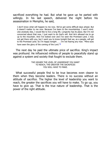sacrificed everything he had. But what he gave up he parted with willingly. In his last speech, delivered the night before his assassination in Memphis, he said,

I don't know what will happen to me now. We've got some difficult days ahead. But it doesn't matter to me now. Because I've been to the mountaintop. I won't mind. Like anybody else, I would like to live a long life. Longevity has its place. But I'm not concerned about that now. I just want to do God's will. And He's allowed me to go up to the mountain. And I've looked over and I've seen the Promised Land. I may not get there with you, but I want you to know tonight that we, as a people, will get to the Promised Land. So I'm happy tonight . . . I'm not fearing any man. "Mine eyes have seen the glory of the coming of the Lord." $^{\underline{1}}$  $^{\underline{1}}$  $^{\underline{1}}$ 

The next day he paid the ultimate price of sacrifice. King's impact was profound. He influenced millions of people to peacefully stand up against a system and society that fought to exclude them.

> <span id="page-78-0"></span>THE HIGHER THE LEVEL OF LEADERSHIP YOU WANT TO REACH, THE GREATER THE SACRIFICES YOU WILL HAVE TO MAKE.

What successful people find to be true becomes even clearer to them when they become leaders. There is no success without an attitude of sacrifice. The higher the level of leadership you want to reach, the greater the sacrifices you will have to make. To go up, you have to give up. That is the true nature of leadership. That is the power of the right attitude.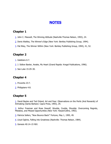### **[NOTES](#page-3-1)**

#### **Chapter 1**

- . John C. Maxwell, The Winning Attitude (Nashville:Thomas Nelson, 1993), 24.
- . Denis Waitley, The Winner's Edge (New York: Berkley Publishing Group, 1994).
- . Pat Riley, The Winner Within (New York: Berkley Publishing Group, 1994), 41, 52.

#### **Chapter 2**

- . Galatians 6:7.
- . J. Sidlow Baxter, Awake, My Heart (Grand Rapids: Kregal Publications, 1996).
- . See Luke 15:29–30.

#### **Chapter 4**

- . Proverbs 23:7.
- . Philippians 4:8.

#### **Chapter 5**

. David Bayles and Ted Orland, Art and Fear: Observations on the Perils (And Rewards) of Artmaking (Santa Barbara: Capra Press, 1993), 29.

. Arthur Freeman and Rose Dewolf, Woulda, Coulda, Shoulda: Overcoming Regrets, Mistakes, and Missed Opportunities (New York: HarperCollins, 1992).

- . Patricia Sellers, "Now Bounce Back!" Fortune, May 1, 1995, 49.
- . Lloyd Ogilvie, Falling into Greatness (Nashville: Thomas Nelson, 1984).
- . Genesis 40:14–15 NIV.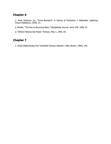### **Chapter 6**

- [1](#page-60-0). Andy Andrews, ed., "Erma Bombeck" in Storms of Perfection 2 (Nashville: Lightning Crown Publishers, 1994), 51.
- [2](#page-62-0). Brodin, "The Key to Bouncing Back," Discipleship Journal, issue 109, 1999, 67.
- [3](#page-65-0). "Where Failures Get Fixed," Fortune, May 1, 1995, 64.

### **Chapter 7**

<span id="page-80-0"></span>[1](#page-78-0). David Wallechinsky, The Twentieth Century (Boston: Little, Brown, 1995), 155.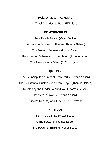Books by Dr. John C. Maxwell

Can Teach You How to Be a REAL Success

#### **RELATIONSHIPS**

Be a People Person (Victor Books) Becoming a Person of Influence (Thomas Nelson) The Power of Influence (Honor Books) The Power of Partnership in the Church (J. Countryman) The Treasure of a Friend (J. Countryman)

#### **EQUIPPING**

The 17 Indisputable Laws of Teamwork (Thomas Nelson) The 17 Essential Qualities of a Team Player (Thomas Nelson) Developing the Leaders Around You (Thomas Nelson) Partners in Prayer (Thomas Nelson) Success One Day at a Time (J. Countryman)

#### **ATTITUDE**

Be All You Can Be (Victor Books) Failing Forward (Thomas Nelson) The Power of Thinking (Honor Books)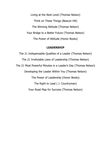Living at the Next Level (Thomas Nelson) Think on These Things (Beacon Hill) The Winning Attitude (Thomas Nelson) Your Bridge to a Better Future (Thomas Nelson) The Power of Attitude (Honor Books)

#### **LEADERSHIP**

The 21 Indispensable Qualities of a Leader (Thomas Nelson) The 21 Irrefutable Laws of Leadership (Thomas Nelson) The 21 Most Powerful Minutes in a Leader's Day (Thomas Nelson) Developing the Leader Within You (Thomas Nelson) The Power of Leadership (Honor Books) The Right to Lead ( J. Countryman) Your Road Map for Success (Thomas Nelson)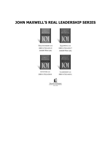### **JOHN MAXWELL'S REAL LEADERSHIP SERIES**



RELATIONSHIPS IOI ISBN 0-7852-6351-9 Available Winter 2004



**ATTITUDE 101** ISBN 0-7852-6350-0



**EQUIPPING IOI** ISBN 0-7852-6352-7 Available Winter 2004



LEADERSHIP IOI ISBN 0-7852-6419-1

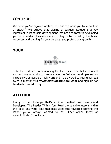## CONTINUE

We hope you've enjoyed Attitude 101 and we want you to know that at INJOY<sup>®</sup> we believe that owning a positive attitude is a key ingredient in leadership development. We are dedicated to developing you as a leader of excellence and integrity by providing the finest resources and training for your personal and professional growth.

## **YOUR**



Take the next step in developing the leadership potential in yourself and in those around you. We've made the first step as simple and as inexpensive as possible— it's FREE and it's delivered to your email box twice a month! Visit **www.Attitude101book.com** and sign up for Leadership Wired today.

## **ATTITUDE**

Ready for a challenge that's a little meatier? We recommend Developing The Leader Within You. Read the valuable lessons within this book and you'll take that next giant step toward becoming the leader you've always wanted to be. Order online today at www.Attitude101book.com.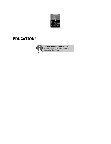

# **EDUCATION!**



Visit www.Attitude101book.com and<br>sign up for your FREE subscription to<br>Leadership Wired today!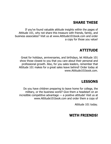# **SHARE THESE**

If you've found valuable attitude insights within the pages of Attitude 101, why not share this treasure with friends, family, and business associates? Visit us at www.Attitude101book.com and order a copy for those you value!

## **ATTITUDE**

Great for holidays, anniversaries, and birthdays, let Attitude 101 show those closest to you that you care about their personal and professional growth. Also, for you sales leaders, remember that Attitude 101 makes for a great sales leave behind! Order today at www.Attitude101book.com.

## **LESSONS**

Do you have children preparing to leave home for college, the military, or the business world? Give them a headstart on an incredible competitive advantage — a positive attitude! Visit us at www.Attitude101book.com and order them a copy of

Attitude 101 today.

## **WITH FRIENDS!**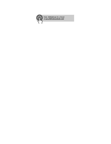

Order Attitude 101 for a friend<br>at www.Attitude101book.com!